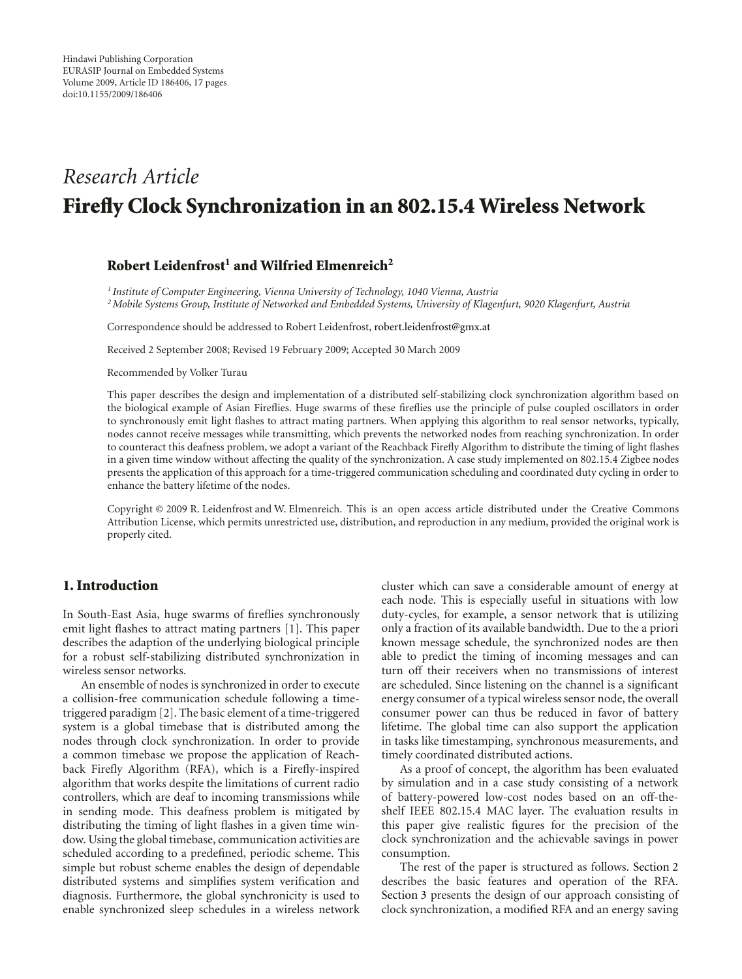# *Research Article* **Firefly Clock Synchronization in an 802.15.4 Wireless Network**

# **Robert Leidenfrost1 and Wilfried Elmenreich2**

*<sup>1</sup> Institute of Computer Engineering, Vienna University of Technology, 1040 Vienna, Austria 2Mobile Systems Group, Institute of Networked and Embedded Systems, University of Klagenfurt, 9020 Klagenfurt, Austria*

Correspondence should be addressed to Robert Leidenfrost, robert.leidenfrost@gmx.at

Received 2 September 2008; Revised 19 February 2009; Accepted 30 March 2009

Recommended by Volker Turau

This paper describes the design and implementation of a distributed self-stabilizing clock synchronization algorithm based on the biological example of Asian Fireflies. Huge swarms of these fireflies use the principle of pulse coupled oscillators in order to synchronously emit light flashes to attract mating partners. When applying this algorithm to real sensor networks, typically, nodes cannot receive messages while transmitting, which prevents the networked nodes from reaching synchronization. In order to counteract this deafness problem, we adopt a variant of the Reachback Firefly Algorithm to distribute the timing of light flashes in a given time window without affecting the quality of the synchronization. A case study implemented on 802.15.4 Zigbee nodes presents the application of this approach for a time-triggered communication scheduling and coordinated duty cycling in order to enhance the battery lifetime of the nodes.

Copyright © 2009 R. Leidenfrost and W. Elmenreich. This is an open access article distributed under the Creative Commons Attribution License, which permits unrestricted use, distribution, and reproduction in any medium, provided the original work is properly cited.

## **1. Introduction**

In South-East Asia, huge swarms of fireflies synchronously emit light flashes to attract mating partners [1]. This paper describes the adaption of the underlying biological principle for a robust self-stabilizing distributed synchronization in wireless sensor networks.

An ensemble of nodes is synchronized in order to execute a collision-free communication schedule following a timetriggered paradigm [2]. The basic element of a time-triggered system is a global timebase that is distributed among the nodes through clock synchronization. In order to provide a common timebase we propose the application of Reachback Firefly Algorithm (RFA), which is a Firefly-inspired algorithm that works despite the limitations of current radio controllers, which are deaf to incoming transmissions while in sending mode. This deafness problem is mitigated by distributing the timing of light flashes in a given time window. Using the global timebase, communication activities are scheduled according to a predefined, periodic scheme. This simple but robust scheme enables the design of dependable distributed systems and simplifies system verification and diagnosis. Furthermore, the global synchronicity is used to enable synchronized sleep schedules in a wireless network

cluster which can save a considerable amount of energy at each node. This is especially useful in situations with low duty-cycles, for example, a sensor network that is utilizing only a fraction of its available bandwidth. Due to the a priori known message schedule, the synchronized nodes are then able to predict the timing of incoming messages and can turn off their receivers when no transmissions of interest are scheduled. Since listening on the channel is a significant energy consumer of a typical wireless sensor node, the overall consumer power can thus be reduced in favor of battery lifetime. The global time can also support the application in tasks like timestamping, synchronous measurements, and timely coordinated distributed actions.

As a proof of concept, the algorithm has been evaluated by simulation and in a case study consisting of a network of battery-powered low-cost nodes based on an off-theshelf IEEE 802.15.4 MAC layer. The evaluation results in this paper give realistic figures for the precision of the clock synchronization and the achievable savings in power consumption.

The rest of the paper is structured as follows. Section 2 describes the basic features and operation of the RFA. Section 3 presents the design of our approach consisting of clock synchronization, a modified RFA and an energy saving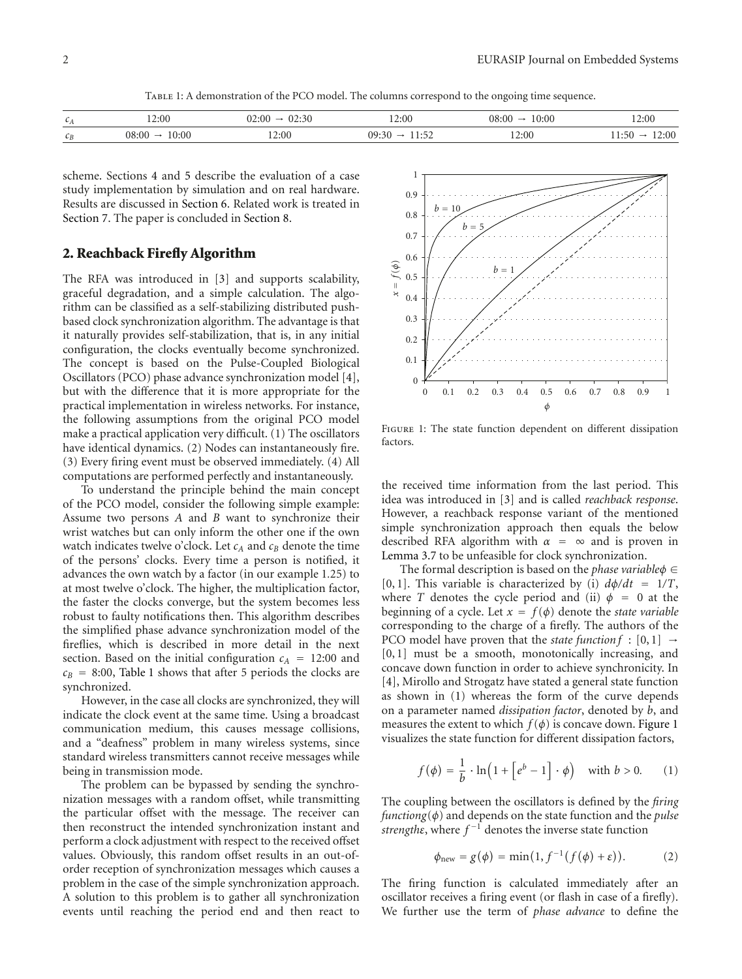Table 1: A demonstration of the PCO model. The columns correspond to the ongoing time sequence.

| UΔ<br>$\overline{1}$ | 12:00<br>.                                 | 02:30<br>02:00<br>. | 12:00<br>.            | 10:00<br>08:00<br>. | 12:00                      |
|----------------------|--------------------------------------------|---------------------|-----------------------|---------------------|----------------------------|
| $c_B$                | 10:00<br>08:00<br>$\overline{\phantom{a}}$ | 12:00               | 1.52<br>09:30<br>---- | 12:00               | 12:00<br>$\cdots$<br>----- |

scheme. Sections 4 and 5 describe the evaluation of a case study implementation by simulation and on real hardware. Results are discussed in Section 6. Related work is treated in Section 7. The paper is concluded in Section 8.

## **2. Reachback Firefly Algorithm**

The RFA was introduced in [3] and supports scalability, graceful degradation, and a simple calculation. The algorithm can be classified as a self-stabilizing distributed pushbased clock synchronization algorithm. The advantage is that it naturally provides self-stabilization, that is, in any initial configuration, the clocks eventually become synchronized. The concept is based on the Pulse-Coupled Biological Oscillators (PCO) phase advance synchronization model [4], but with the difference that it is more appropriate for the practical implementation in wireless networks. For instance, the following assumptions from the original PCO model make a practical application very difficult. (1) The oscillators have identical dynamics. (2) Nodes can instantaneously fire. (3) Every firing event must be observed immediately. (4) All computations are performed perfectly and instantaneously.

To understand the principle behind the main concept of the PCO model, consider the following simple example: Assume two persons *A* and *B* want to synchronize their wrist watches but can only inform the other one if the own watch indicates twelve o'clock. Let  $c_A$  and  $c_B$  denote the time of the persons' clocks. Every time a person is notified, it advances the own watch by a factor (in our example 1*.*25) to at most twelve o'clock. The higher, the multiplication factor, the faster the clocks converge, but the system becomes less robust to faulty notifications then. This algorithm describes the simplified phase advance synchronization model of the fireflies, which is described in more detail in the next section. Based on the initial configuration  $c_A = 12:00$  and  $c_B$  = 8:00, Table 1 shows that after 5 periods the clocks are synchronized.

However, in the case all clocks are synchronized, they will indicate the clock event at the same time. Using a broadcast communication medium, this causes message collisions, and a "deafness" problem in many wireless systems, since standard wireless transmitters cannot receive messages while being in transmission mode.

The problem can be bypassed by sending the synchronization messages with a random offset, while transmitting the particular offset with the message. The receiver can then reconstruct the intended synchronization instant and perform a clock adjustment with respect to the received offset values. Obviously, this random offset results in an out-oforder reception of synchronization messages which causes a problem in the case of the simple synchronization approach. A solution to this problem is to gather all synchronization events until reaching the period end and then react to



FIGURE 1: The state function dependent on different dissipation factors.

the received time information from the last period. This idea was introduced in [3] and is called *reachback response*. However, a reachback response variant of the mentioned simple synchronization approach then equals the below described RFA algorithm with  $\alpha = \infty$  and is proven in Lemma 3.7 to be unfeasible for clock synchronization.

The formal description is based on the *phase variableφ* ∈ [0, 1]. This variable is characterized by (i)  $d\phi/dt = 1/T$ , where *T* denotes the cycle period and (ii)  $\phi = 0$  at the beginning of a cycle. Let  $x = f(\phi)$  denote the *state variable* corresponding to the charge of a firefly. The authors of the PCO model have proven that the *state function*  $f : [0,1] \rightarrow$ [0, 1] must be a smooth, monotonically increasing, and concave down function in order to achieve synchronicity. In [4], Mirollo and Strogatz have stated a general state function as shown in (1) whereas the form of the curve depends on a parameter named *dissipation factor*, denoted by *b*, and measures the extent to which  $f(\phi)$  is concave down. Figure 1 visualizes the state function for different dissipation factors,

$$
f(\phi) = \frac{1}{b} \cdot \ln\left(1 + \left[e^b - 1\right] \cdot \phi\right) \quad \text{with } b > 0. \tag{1}
$$

The coupling between the oscillators is defined by the *firing functiong*(*φ*) and depends on the state function and the *pulse strengthε*, where  $f^{-1}$  denotes the inverse state function

$$
\phi_{\text{new}} = g(\phi) = \min(1, f^{-1}(f(\phi) + \varepsilon)). \tag{2}
$$

The firing function is calculated immediately after an oscillator receives a firing event (or flash in case of a firefly). We further use the term of *phase advance* to define the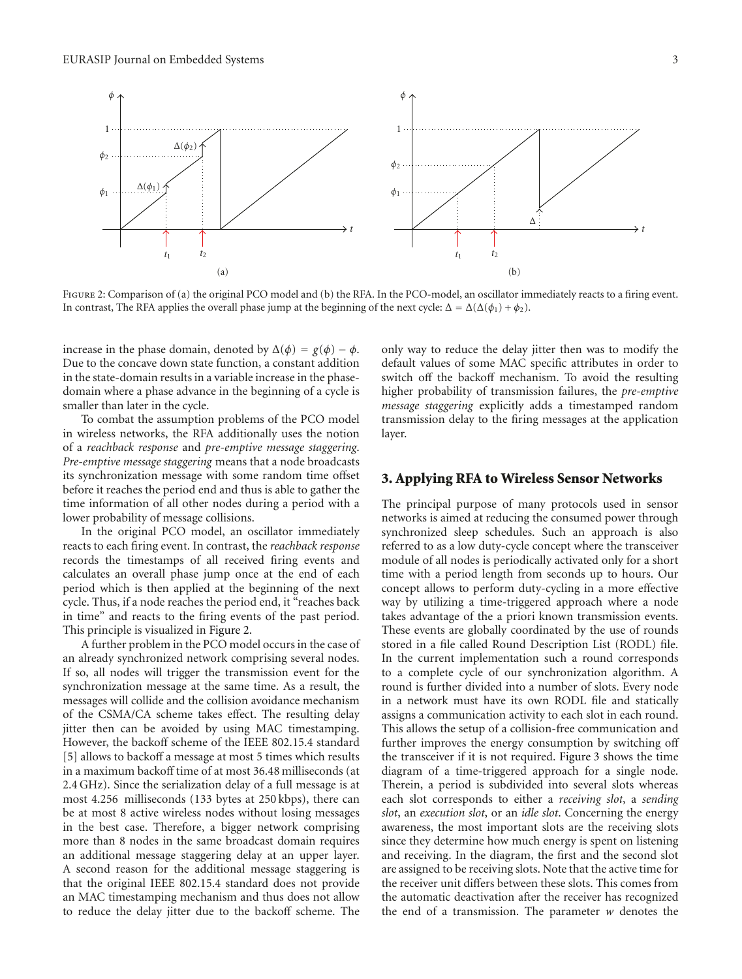

Figure 2: Comparison of (a) the original PCO model and (b) the RFA. In the PCO-model, an oscillator immediately reacts to a firing event. In contrast, The RFA applies the overall phase jump at the beginning of the next cycle:  $\Delta = \Delta(\Delta(\phi_1) + \phi_2)$ .

increase in the phase domain, denoted by  $\Delta(\phi) = g(\phi) - \phi$ . Due to the concave down state function, a constant addition in the state-domain results in a variable increase in the phasedomain where a phase advance in the beginning of a cycle is smaller than later in the cycle.

To combat the assumption problems of the PCO model in wireless networks, the RFA additionally uses the notion of a *reachback response* and *pre-emptive message staggering*. *Pre-emptive message staggering* means that a node broadcasts its synchronization message with some random time offset before it reaches the period end and thus is able to gather the time information of all other nodes during a period with a lower probability of message collisions.

In the original PCO model, an oscillator immediately reacts to each firing event. In contrast, the *reachback response* records the timestamps of all received firing events and calculates an overall phase jump once at the end of each period which is then applied at the beginning of the next cycle. Thus, if a node reaches the period end, it "reaches back in time" and reacts to the firing events of the past period. This principle is visualized in Figure 2.

A further problem in the PCO model occurs in the case of an already synchronized network comprising several nodes. If so, all nodes will trigger the transmission event for the synchronization message at the same time. As a result, the messages will collide and the collision avoidance mechanism of the CSMA/CA scheme takes effect. The resulting delay jitter then can be avoided by using MAC timestamping. However, the backoff scheme of the IEEE 802.15.4 standard [5] allows to backoff a message at most 5 times which results in a maximum backoff time of at most 36.48 milliseconds (at 2.4 GHz). Since the serialization delay of a full message is at most 4.256 milliseconds (133 bytes at 250 kbps), there can be at most 8 active wireless nodes without losing messages in the best case. Therefore, a bigger network comprising more than 8 nodes in the same broadcast domain requires an additional message staggering delay at an upper layer. A second reason for the additional message staggering is that the original IEEE 802.15.4 standard does not provide an MAC timestamping mechanism and thus does not allow to reduce the delay jitter due to the backoff scheme. The

only way to reduce the delay jitter then was to modify the default values of some MAC specific attributes in order to switch off the backoff mechanism. To avoid the resulting higher probability of transmission failures, the *pre-emptive message staggering* explicitly adds a timestamped random transmission delay to the firing messages at the application layer.

## **3. Applying RFA to Wireless Sensor Networks**

The principal purpose of many protocols used in sensor networks is aimed at reducing the consumed power through synchronized sleep schedules. Such an approach is also referred to as a low duty-cycle concept where the transceiver module of all nodes is periodically activated only for a short time with a period length from seconds up to hours. Our concept allows to perform duty-cycling in a more effective way by utilizing a time-triggered approach where a node takes advantage of the a priori known transmission events. These events are globally coordinated by the use of rounds stored in a file called Round Description List (RODL) file. In the current implementation such a round corresponds to a complete cycle of our synchronization algorithm. A round is further divided into a number of slots. Every node in a network must have its own RODL file and statically assigns a communication activity to each slot in each round. This allows the setup of a collision-free communication and further improves the energy consumption by switching off the transceiver if it is not required. Figure 3 shows the time diagram of a time-triggered approach for a single node. Therein, a period is subdivided into several slots whereas each slot corresponds to either a *receiving slot*, a *sending slot*, an *execution slot*, or an *idle slot*. Concerning the energy awareness, the most important slots are the receiving slots since they determine how much energy is spent on listening and receiving. In the diagram, the first and the second slot are assigned to be receiving slots. Note that the active time for the receiver unit differs between these slots. This comes from the automatic deactivation after the receiver has recognized the end of a transmission. The parameter *w* denotes the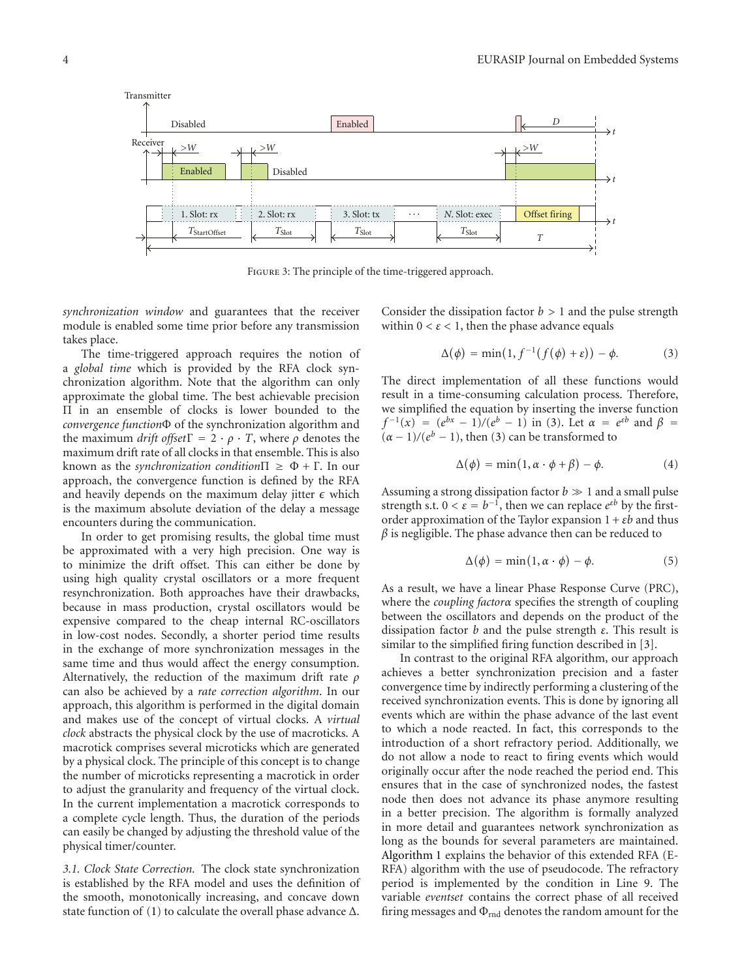

FIGURE 3: The principle of the time-triggered approach.

*synchronization window* and guarantees that the receiver module is enabled some time prior before any transmission takes place.

The time-triggered approach requires the notion of a *global time* which is provided by the RFA clock synchronization algorithm. Note that the algorithm can only approximate the global time. The best achievable precision Π in an ensemble of clocks is lower bounded to the *convergence function*Φ of the synchronization algorithm and the maximum *drift offset* $Γ = 2 · ρ · T$ , where *ρ* denotes the maximum drift rate of all clocks in that ensemble. This is also known as the *synchronization condition*Π ≥ Φ + Γ. In our approach, the convergence function is defined by the RFA and heavily depends on the maximum delay jitter  $\epsilon$  which is the maximum absolute deviation of the delay a message encounters during the communication.

In order to get promising results, the global time must be approximated with a very high precision. One way is to minimize the drift offset. This can either be done by using high quality crystal oscillators or a more frequent resynchronization. Both approaches have their drawbacks, because in mass production, crystal oscillators would be expensive compared to the cheap internal RC-oscillators in low-cost nodes. Secondly, a shorter period time results in the exchange of more synchronization messages in the same time and thus would affect the energy consumption. Alternatively, the reduction of the maximum drift rate *ρ* can also be achieved by a *rate correction algorithm*. In our approach, this algorithm is performed in the digital domain and makes use of the concept of virtual clocks. A *virtual clock* abstracts the physical clock by the use of macroticks. A macrotick comprises several microticks which are generated by a physical clock. The principle of this concept is to change the number of microticks representing a macrotick in order to adjust the granularity and frequency of the virtual clock. In the current implementation a macrotick corresponds to a complete cycle length. Thus, the duration of the periods can easily be changed by adjusting the threshold value of the physical timer/counter.

*3.1. Clock State Correction.* The clock state synchronization is established by the RFA model and uses the definition of the smooth, monotonically increasing, and concave down state function of (1) to calculate the overall phase advance  $\Delta$ .

Consider the dissipation factor *b >* 1 and the pulse strength within  $0 < \varepsilon < 1$ , then the phase advance equals

$$
\Delta(\phi) = \min(1, f^{-1}(f(\phi) + \varepsilon)) - \phi.
$$
 (3)

The direct implementation of all these functions would result in a time-consuming calculation process. Therefore, we simplified the equation by inserting the inverse function *f*  $f^{-1}(x) = (e^{bx} - 1)/(e^b - 1)$  in (3). Let  $\alpha = e^{eb}$  and  $\beta =$  $(\alpha - 1)/(e^{b} - 1)$ , then (3) can be transformed to

$$
\Delta(\phi) = \min(1, \alpha \cdot \phi + \beta) - \phi. \tag{4}
$$

Assuming a strong dissipation factor  $b \gg 1$  and a small pulse strength s.t.  $0 < \varepsilon = b^{-1}$ , then we can replace  $e^{\varepsilon b}$  by the firstorder approximation of the Taylor expansion 1 + *εb* and thus *β* is negligible. The phase advance then can be reduced to

$$
\Delta(\phi) = \min(1, \alpha \cdot \phi) - \phi. \tag{5}
$$

As a result, we have a linear Phase Response Curve (PRC), where the *coupling factorα* specifies the strength of coupling between the oscillators and depends on the product of the dissipation factor *b* and the pulse strength *ε*. This result is similar to the simplified firing function described in [3].

In contrast to the original RFA algorithm, our approach achieves a better synchronization precision and a faster convergence time by indirectly performing a clustering of the received synchronization events. This is done by ignoring all events which are within the phase advance of the last event to which a node reacted. In fact, this corresponds to the introduction of a short refractory period. Additionally, we do not allow a node to react to firing events which would originally occur after the node reached the period end. This ensures that in the case of synchronized nodes, the fastest node then does not advance its phase anymore resulting in a better precision. The algorithm is formally analyzed in more detail and guarantees network synchronization as long as the bounds for several parameters are maintained. Algorithm 1 explains the behavior of this extended RFA (E-RFA) algorithm with the use of pseudocode. The refractory period is implemented by the condition in Line 9. The variable *eventset* contains the correct phase of all received firing messages and  $\Phi_{\text{rnd}}$  denotes the random amount for the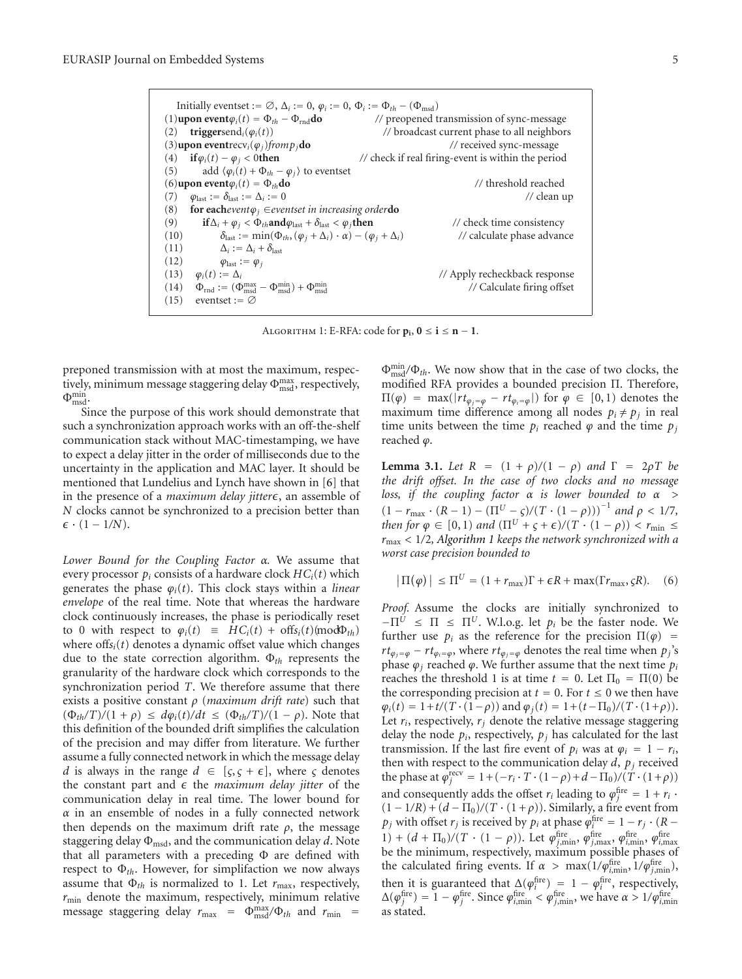| Initially eventset := $\emptyset$ , $\Delta_i$ := 0, $\varphi_i$ := 0, $\Phi_i$ := $\Phi_{th} - (\Phi_{msd})$                            |                                                    |
|------------------------------------------------------------------------------------------------------------------------------------------|----------------------------------------------------|
| (1)upon event $\varphi_i(t) = \Phi_{th} - \Phi_{rad}$ do                                                                                 | // preopened transmission of sync-message          |
| <b>triggersend</b> <sub>i</sub> $(\varphi_i(t))$<br>(2)                                                                                  | // broadcast current phase to all neighbors        |
| (3) upon event recv <sub>i</sub> ( $\varphi$ <sub>i</sub> ) from $p_i$ do                                                                | // received sync-message                           |
| $if \varphi_i(t) - \varphi_i < 0$ then<br>(4)                                                                                            | // check if real firing-event is within the period |
| add $\langle \varphi_i(t) + \Phi_{th} - \varphi_i \rangle$ to eventset<br>(5)                                                            |                                                    |
| (6) upon event $\varphi_i(t) = \Phi_{th}$ do                                                                                             | // threshold reached                               |
| $\varphi_{\text{last}} := \delta_{\text{last}} := \Delta_i := 0$<br>(7)                                                                  | $\frac{1}{2}$ clean up                             |
| <b>for each</b> event $\varphi_i$ $\in$ eventset in increasing order <b>do</b><br>(8)                                                    |                                                    |
| $\textbf{if}\Delta_i + \varphi_i < \Phi_{th} \textbf{and} \varphi_{\text{last}} + \delta_{\text{last}} < \varphi_i \textbf{then}$<br>(9) | // check time consistency                          |
| $\delta_{\text{last}} := \min(\Phi_{th}, (\varphi_i + \Delta_i) \cdot \alpha) - (\varphi_i + \Delta_i)$<br>(10)                          | // calculate phase advance                         |
| (11)<br>$\Delta_i := \Delta_i + \delta_{\text{last}}$                                                                                    |                                                    |
| (12)<br>$\varphi_{\text{last}} := \varphi_i$                                                                                             |                                                    |
| (13)<br>$\varphi_i(t) := \Delta_i$                                                                                                       | // Apply recheckback response                      |
| $\Phi_{\text{rnd}} := (\Phi_{\text{msd}}^{\text{max}} - \Phi_{\text{msd}}^{\text{min}}) + \Phi_{\text{msd}}^{\text{min}}$<br>(14)        | // Calculate firing offset                         |
| (15)<br>eventset := $\varnothing$                                                                                                        |                                                    |

ALGORITHM 1: E-RFA: code for  $p_i$ ,  $0 \le i \le n - 1$ .

preponed transmission with at most the maximum, respectively, minimum message staggering delay  $\Phi_{\rm msd}^{\rm max}$ , respectively,  $\Phi_{\rm msd}^{\rm min}$ .

Since the purpose of this work should demonstrate that such a synchronization approach works with an off-the-shelf communication stack without MAC-timestamping, we have to expect a delay jitter in the order of milliseconds due to the uncertainty in the application and MAC layer. It should be mentioned that Lundelius and Lynch have shown in [6] that in the presence of a *maximum delay jitter-*, an assemble of *N* clocks cannot be synchronized to a precision better than  $\epsilon \cdot (1 - 1/N)$ .

*Lower Bound for the Coupling Factor α.* We assume that every processor  $p_i$  consists of a hardware clock  $HC_i(t)$  which generates the phase  $\varphi_i(t)$ . This clock stays within a *linear envelope* of the real time. Note that whereas the hardware clock continuously increases, the phase is periodically reset to 0 with respect to  $\varphi_i(t) \equiv HC_i(t) + \text{offs}_i(t)(\text{mod}\Phi_{th})$ where off*si*(*t*) denotes a dynamic offset value which changes due to the state correction algorithm. Φ*th* represents the granularity of the hardware clock which corresponds to the synchronization period *T*. We therefore assume that there exists a positive constant *ρ* (*maximum drift rate*) such that  $(\Phi_{th}/T)/(1+\rho) \leq d\varphi_i(t)/dt \leq (\Phi_{th}/T)/(1-\rho)$ . Note that this definition of the bounded drift simplifies the calculation of the precision and may differ from literature. We further assume a fully connected network in which the message delay *d* is always in the range  $d \in [\zeta, \zeta + \epsilon]$ , where  $\zeta$  denotes the constant part and  $\epsilon$  the *maximum delay jitter* of the communication delay in real time. The lower bound for *α* in an ensemble of nodes in a fully connected network then depends on the maximum drift rate  $\rho$ , the message staggering delay Φmsd, and the communication delay *d*. Note that all parameters with a preceding Φ are defined with respect to Φ*th*. However, for simplifaction we now always assume that  $\Phi_{th}$  is normalized to 1. Let  $r_{\text{max}}$ , respectively, *r*min denote the maximum, respectively, minimum relative message staggering delay  $r_{\text{max}} = \Phi_{\text{msd}}^{\text{max}} / \Phi_{th}$  and  $r_{\text{min}} =$ 

Φmin msd*/*Φ*th*. We now show that in the case of two clocks, the modified RFA provides a bounded precision Π. Therefore,  $\Pi(\varphi) = \max(|rt_{\varphi_j=\varphi} - rt_{\varphi_i=\varphi}|)$  for  $\varphi \in [0,1)$  denotes the maximum time difference among all nodes  $p_i \neq p_j$  in real time units between the time  $p_i$  reached  $\varphi$  and the time  $p_j$ reached *ϕ*.

**Lemma 3.1.** *Let*  $R = (1 + \rho)/(1 - \rho)$  *and*  $\Gamma = 2\rho T$  *be the drift offset. In the case of two clocks and no message loss, if the coupling factor α is lower bounded to α >*  $(1 - r_{\text{max}} \cdot (R - 1) - (\Pi^U - \varsigma)/(T \cdot (1 - \rho)))^{-1}$  *and*  $\rho < 1/7$ , *then for*  $\varphi \in [0, 1)$  *and*  $(\Pi^U + \varsigma + \epsilon)/(T \cdot (1 - \rho)) < r_{\min} \le$ *r*max *<* 1*/*2*, Algorithm 1 keeps the network synchronized with a worst case precision bounded to*

$$
|\Pi(\varphi)| \le \Pi^U = (1 + r_{\text{max}})\Gamma + \epsilon R + \max(\Gamma r_{\text{max}}, \varsigma R). \quad (6)
$$

*Proof.* Assume the clocks are initially synchronized to  $-\Pi^U \leq \Pi \leq \Pi^U$ . W.l.o.g. let  $p_i$  be the faster node. We further use  $p_i$  as the reference for the precision  $\Pi(\varphi)$  = *rt*<sub> $\varphi_j = \varphi - rt_{\varphi_j = \varphi}$ , where  $rt_{\varphi_j = \varphi}$  denotes the real time when  $p_j$ 's</sub> phase *ϕj* reached *ϕ*. We further assume that the next time *pi* reaches the threshold 1 is at time  $t = 0$ . Let  $\Pi_0 = \Pi(0)$  be the corresponding precision at  $t = 0$ . For  $t \le 0$  we then have  $\varphi_i(t) = 1 + t/(T \cdot (1-\rho))$  and  $\varphi_i(t) = 1 + (t-\Pi_0)/(T \cdot (1+\rho)).$ Let  $r_i$ , respectively,  $r_j$  denote the relative message staggering delay the node  $p_i$ , respectively,  $p_j$  has calculated for the last transmission. If the last fire event of  $p_i$  was at  $\varphi_i = 1 - r_i$ , then with respect to the communication delay  $d$ ,  $p_j$  received the phase at  $\varphi_j^{\text{recv}} = 1 + (-r_i \cdot T \cdot (1 - \rho) + d - \Pi_0) / (\tilde{T} \cdot (1 + \rho))$ and consequently adds the offset  $r_i$  leading to  $\varphi_j^{\text{fire}} = 1 + r_i$ .  $(1 - 1/R) + (d - \Pi_0)/(T \cdot (1 + \rho))$ . Similarly, a fire event from  $p_j$  with offset  $r_j$  is received by  $p_i$  at phase  $\varphi_i^{\text{fire}} = 1 - r_j \cdot (R - 1)$ 1) +  $(d + \Pi_0)/(T \cdot (1 - \rho))$ . Let  $\varphi_{j,\text{min}}^{\text{fire}}, \varphi_{j,\text{max}}^{\text{fire}}, \varphi_{i,\text{min}}^{\text{fire}}, \varphi_{i,\text{max}}^{\text{fire}}$ <br>be the minimum, respectively, maximum possible phases of the calculated firing events. If  $\alpha > \max(1/\varphi_{i,\min}^{\text{fire}}, 1/\varphi_{j,\min}^{\text{fire}})$ , then it is guaranteed that  $\Delta(\varphi_i^{\text{fire}}) = 1 - \varphi_i^{\text{fire}}$ , respectively,  $\Delta(\varphi_j^{\text{fire}}) = 1 - \varphi_j^{\text{fire}}$ . Since  $\varphi_{i,\text{min}}^{\text{fire}} < \varphi_{j,\text{min}}^{\text{fire}}$ , we have  $\alpha > 1/\varphi_{i,\text{min}}^{\text{fire}}$ as stated.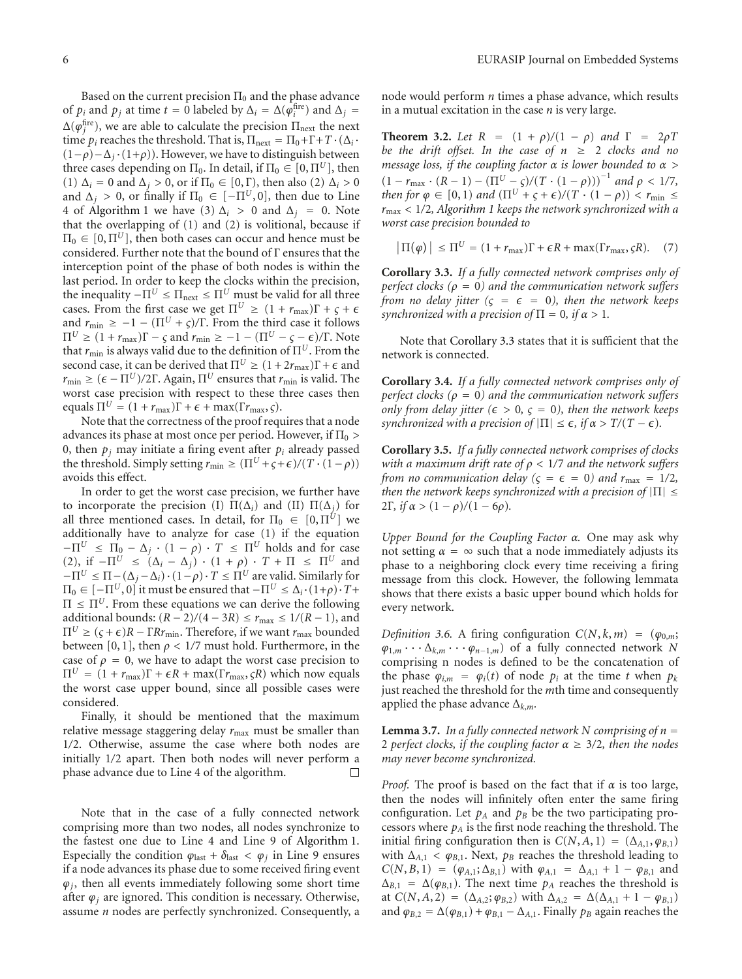Based on the current precision  $\Pi_0$  and the phase advance of  $p_i$  and  $p_j$  at time  $t = 0$  labeled by  $\Delta_i = \Delta(\varphi_i^{\text{fire}})$  and  $\Delta_j =$  $\Delta(\varphi_j^{\text{fire}})$ , we are able to calculate the precision  $\Pi_{\text{next}}$  the next time  $p_i$  reaches the threshold. That is,  $\Pi_{\text{next}} = \Pi_0 + \Gamma + T \cdot (\Delta_i \cdot$  $(1-\rho)-\Delta_j \cdot (1+\rho)$ ). However, we have to distinguish between three cases depending on  $\Pi_0$ . In detail, if  $\Pi_0 \in [0, \Pi^U]$ , then (1)  $\Delta_i = 0$  and  $\Delta_j > 0$ , or if  $\Pi_0 \in [0, \Gamma)$ , then also (2)  $\Delta_i > 0$ and  $\Delta_j > 0$ , or finally if  $\Pi_0 \in [-\Pi^U, 0]$ , then due to Line 4 of Algorithm 1 we have (3)  $\Delta_i > 0$  and  $\Delta_j = 0$ . Note that the overlapping of (1) and (2) is volitional, because if  $\Pi_0 \in [0, \Pi^U]$ , then both cases can occur and hence must be considered. Further note that the bound of Γ ensures that the interception point of the phase of both nodes is within the last period. In order to keep the clocks within the precision, the inequality  $-\Pi^U \leq \Pi_{\text{next}} \leq \Pi^U$  must be valid for all three cases. From the first case we get  $\Pi^U \geq (1 + r_{\text{max}})\Gamma + \varsigma + \epsilon$ and  $r_{\min} \geq -1 - (\Pi^U + \varsigma)/\Gamma$ . From the third case it follows  $\Pi^U$  ≥ (1 + *r*<sub>max</sub>)Γ − *ς* and *r*<sub>min</sub> ≥ −1 − ( $\Pi^U$  − *ς* −  $\epsilon$ )/Γ. Note that  $r_{\text{min}}$  is always valid due to the definition of  $\Pi^{U}$ . From the second case, it can be derived that  $\Pi^U \ge (1 + 2r_{\text{max}})\Gamma + \epsilon$  and  $r_{\min} \geq (\epsilon - \Pi^U)/2\Gamma$ . Again,  $\Pi^U$  ensures that  $r_{\min}$  is valid. The worst case precision with respect to these three cases then equals  $\Pi^U = (1 + r_{\text{max}})\Gamma + \epsilon + \max(\Gamma r_{\text{max}}, \varsigma).$ 

Note that the correctness of the proof requires that a node advances its phase at most once per period. However, if Π<sub>0</sub> > 0, then  $p_i$  may initiate a firing event after  $p_i$  already passed the threshold. Simply setting  $r_{\min} \geq (\Pi^U + \varsigma + \epsilon)/(T \cdot (1 - \rho))$ avoids this effect.

In order to get the worst case precision, we further have to incorporate the precision (I)  $\Pi(\Delta_i)$  and (II)  $\Pi(\Delta_j)$  for all three mentioned cases. In detail, for  $\Pi_0 \in [0, \Pi^U]$  we additionally have to analyze for case (1) if the equation  $-\Pi^U \leq \Pi_0 - \Delta_j \cdot (1 - \rho) \cdot T \leq \Pi^U$  holds and for case (2), if  $-\Pi^U \leq (\Delta_i - \Delta_j) \cdot (1 + \rho) \cdot T + \Pi \leq \Pi^U$  and  $-\Pi^U \leq \Pi - (\Delta_i - \Delta_i) \cdot (1 - \rho) \cdot T \leq \Pi^U$  are valid. Similarly for  $\Pi_0 \in [-\Pi^U, 0]$  it must be ensured that  $-\Pi^U \leq \Delta_i \cdot (1+\rho) \cdot T +$  $\Pi \leq \Pi^{U}$ . From these equations we can derive the following additional bounds:  $(R - 2)/(4 - 3R)$  ≤  $r_{\text{max}}$  ≤ 1/(R − 1), and  $\Pi^U \ge (\varsigma + \epsilon)R - \Gamma R r_{\min}$ . Therefore, if we want  $r_{\max}$  bounded between [0, 1], then  $\rho < 1/7$  must hold. Furthermore, in the case of  $\rho = 0$ , we have to adapt the worst case precision to  $\Pi^{U} = (1 + r_{\text{max}})\Gamma + \epsilon R + \max(\Gamma r_{\text{max}}, gR)$  which now equals the worst case upper bound, since all possible cases were considered.

Finally, it should be mentioned that the maximum relative message staggering delay  $r_{\text{max}}$  must be smaller than 1*/*2. Otherwise, assume the case where both nodes are initially 1*/*2 apart. Then both nodes will never perform a phase advance due to Line 4 of the algorithm.  $\Box$ 

Note that in the case of a fully connected network comprising more than two nodes, all nodes synchronize to the fastest one due to Line 4 and Line 9 of Algorithm 1. Especially the condition  $\varphi_{\text{last}} + \delta_{\text{last}} < \varphi_j$  in Line 9 ensures if a node advances its phase due to some received firing event  $\varphi_i$ , then all events immediately following some short time after  $\varphi_i$  are ignored. This condition is necessary. Otherwise, assume *n* nodes are perfectly synchronized. Consequently, a

node would perform *n* times a phase advance, which results in a mutual excitation in the case *n* is very large.

**Theorem 3.2.** *Let*  $R = (1 + \rho)/(1 - \rho)$  *and*  $\Gamma = 2\rho T$ *be the drift offset. In the case of*  $n \geq 2$  *clocks and no message loss, if the coupling factor α is lower bounded to α >*  $(1 - r_{\text{max}} \cdot (R - 1) - (\Pi^U - \varsigma)/(T \cdot (1 - \rho)))^{-1}$  *and*  $\rho < 1/7$ *, then for*  $\varphi \in [0, 1)$  *and*  $(\Pi^U + \varsigma + \epsilon)/(T \cdot (1 - \rho)) < r_{\min} \le$ *r*max *<* 1*/*2*, Algorithm 1 keeps the network synchronized with a worst case precision bounded to*

$$
|\Pi(\varphi)| \le \Pi^U = (1 + r_{\text{max}})\Gamma + \epsilon R + \max(\Gamma r_{\text{max}}, \varsigma R). \quad (7)
$$

**Corollary 3.3.** *If a fully connected network comprises only of perfect clocks (ρ* = 0*) and the communication network suffers from no delay jitter* (*ς* =  $\epsilon$  = 0), then the network keeps *synchronized with a precision of*  $\Pi = 0$ *, if*  $\alpha > 1$ *.* 

Note that Corollary 3.3 states that it is sufficient that the network is connected.

**Corollary 3.4.** *If a fully connected network comprises only of perfect clocks (ρ* = 0*) and the communication network suffers only from delay jitter* ( $\epsilon > 0$ ,  $\zeta = 0$ ), then the network keeps *synchronized with a precision of*  $|\Pi| \le \epsilon$ , *if*  $\alpha > T/(T - \epsilon)$ .

**Corollary 3.5.** *If a fully connected network comprises of clocks with a maximum drift rate of ρ <* 1*/*7 *and the network suffers from no communication delay*  $(\varsigma = \epsilon = 0)$  *and*  $r_{\text{max}} = 1/2$ *, then the network keeps synchronized with a precision of*  $|\Pi| \le$ 2Γ*, if*  $\alpha$  >  $(1 - \rho)/(1 - 6\rho)$ .

*Upper Bound for the Coupling Factor α.* One may ask why not setting  $\alpha = \infty$  such that a node immediately adjusts its phase to a neighboring clock every time receiving a firing message from this clock. However, the following lemmata shows that there exists a basic upper bound which holds for every network.

*Definition 3.6.* A firing configuration  $C(N, k, m) = (\varphi_{0,m};$  $\varphi_{1,m}$  ···  $\Delta_{k,m}$  ···  $\varphi_{n-1,m}$  of a fully connected network *N* comprising n nodes is defined to be the concatenation of the phase  $\varphi_{i,m} = \varphi_i(t)$  of node  $p_i$  at the time *t* when  $p_k$ just reached the threshold for the *m*th time and consequently applied the phase advance Δ*k*,*m.*

**Lemma 3.7.** In a fully connected network N comprising of  $n =$ 2 *perfect clocks, if the coupling factor α* ≥ 3*/*2*, then the nodes may never become synchronized.*

*Proof.* The proof is based on the fact that if *α* is too large, then the nodes will infinitely often enter the same firing configuration. Let  $p_A$  and  $p_B$  be the two participating processors where  $p_A$  is the first node reaching the threshold. The initial firing configuration then is  $C(N, A, 1) = (\Delta_{A,1}, \varphi_{B,1})$ with  $\Delta_{A,1} < \varphi_{B,1}$ . Next,  $p_B$  reaches the threshold leading to  $C(N, B, 1) = (\varphi_{A,1}; \Delta_{B,1})$  with  $\varphi_{A,1} = \Delta_{A,1} + 1 - \varphi_{B,1}$  and  $\Delta_{B,1} = \Delta(\varphi_{B,1})$ . The next time  $p_A$  reaches the threshold is at  $C(N, A, 2) = (\Delta_{A,2}; \varphi_{B,2})$  with  $\Delta_{A,2} = \Delta(\Delta_{A,1} + 1 - \varphi_{B,1})$ and  $\varphi_{B,2} = \Delta(\varphi_{B,1}) + \varphi_{B,1} - \Delta_{A,1}$ . Finally  $p_B$  again reaches the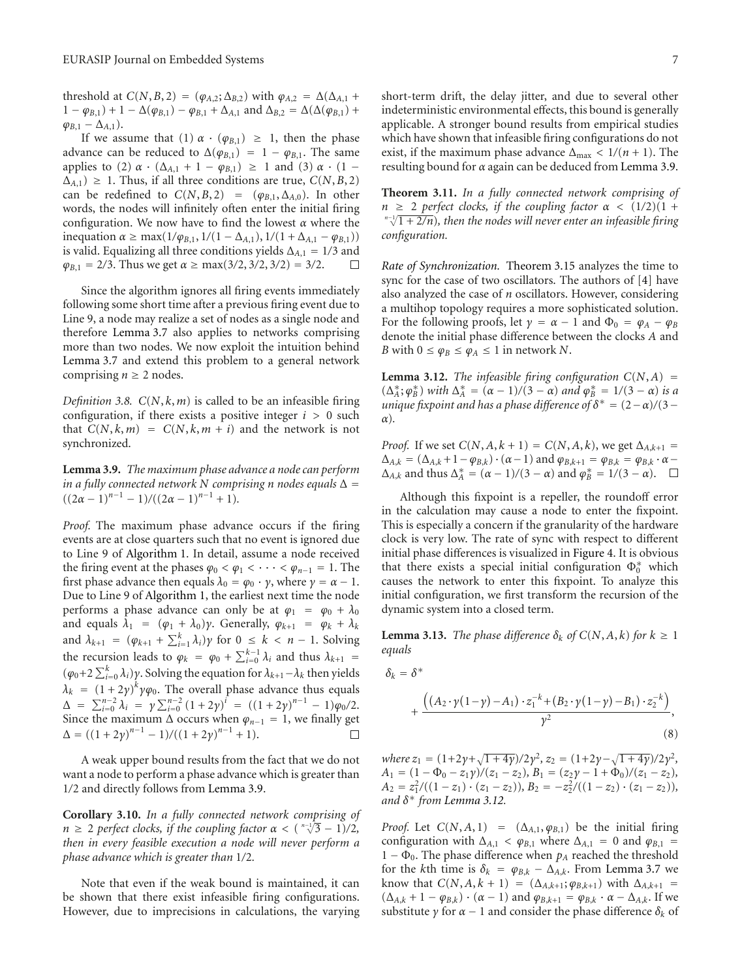threshold at  $C(N, B, 2) = (\varphi_{A,2}; \Delta_{B,2})$  with  $\varphi_{A,2} = \Delta(\Delta_{A,1} +$  $1 - \varphi_{B,1}$ ) + 1 –  $\Delta(\varphi_{B,1}) - \varphi_{B,1} + \Delta_{A,1}$  and  $\Delta_{B,2} = \Delta(\Delta(\varphi_{B,1}) + \varphi_{B,1})$  $\varphi_{B,1} - \Delta_{A,1}$ ).

If we assume that (1)  $\alpha \cdot (\varphi_{B,1}) \geq 1$ , then the phase advance can be reduced to  $\Delta(\varphi_{B,1}) = 1 - \varphi_{B,1}$ . The same applies to (2)  $\alpha \cdot (\Delta_{A,1} + 1 - \varphi_{B,1}) \ge 1$  and (3)  $\alpha \cdot (1 \Delta$ <sub>*A*,1</sub>)  $\geq$  1. Thus, if all three conditions are true,  $C(N, B, 2)$ can be redefined to  $C(N, B, 2) = (\varphi_{B,1}, \Delta_{A,0})$ . In other words, the nodes will infinitely often enter the initial firing configuration. We now have to find the lowest *α* where the inequation  $\alpha \ge \max(1/\varphi_{B,1}, 1/(1 - \Delta_{A,1}), 1/(1 + \Delta_{A,1} - \varphi_{B,1}))$ is valid. Equalizing all three conditions yields  $\Delta_{A,1} = 1/3$  and  $\omega_{B,1} = 2/3$ . Thus we get  $\alpha > \max(3/2, 3/2, 3/2) = 3/2$ .  $\varphi_{B,1} = 2/3$ . Thus we get  $\alpha \ge \max(3/2, 3/2, 3/2) = 3/2$ .

Since the algorithm ignores all firing events immediately following some short time after a previous firing event due to Line 9, a node may realize a set of nodes as a single node and therefore Lemma 3.7 also applies to networks comprising more than two nodes. We now exploit the intuition behind Lemma 3.7 and extend this problem to a general network comprising  $n \geq 2$  nodes.

*Definition 3.8.*  $C(N, k, m)$  is called to be an infeasible firing configuration, if there exists a positive integer  $i > 0$  such that  $C(N, k, m) = C(N, k, m + i)$  and the network is not synchronized.

**Lemma 3.9.** *The maximum phase advance a node can perform in a fully connected network N comprising n nodes equals* Δ =  $((2\alpha - 1)^{n-1} - 1)/((2\alpha - 1)^{n-1} + 1).$ 

*Proof.* The maximum phase advance occurs if the firing events are at close quarters such that no event is ignored due to Line 9 of Algorithm 1. In detail, assume a node received the firing event at the phases  $\varphi_0 < \varphi_1 < \cdots < \varphi_{n-1} = 1$ . The first phase advance then equals  $\lambda_0 = \varphi_0 \cdot \gamma$ , where  $\gamma = \alpha - 1$ . Due to Line 9 of Algorithm 1, the earliest next time the node performs a phase advance can only be at  $\varphi_1 = \varphi_0 + \lambda_0$ and equals  $\lambda_1 = (\varphi_1 + \lambda_0)\gamma$ . Generally,  $\varphi_{k+1} = \varphi_k + \lambda_k$ and  $\lambda_{k+1} = (\varphi_{k+1} + \sum_{i=1}^{k} \lambda_i) \gamma$  for  $0 \leq k < n - 1$ . Solving the recursion leads to  $\varphi_k = \varphi_0 + \sum_{i=0}^{k-1} \lambda_i$  and thus  $\lambda_{k+1} =$  $(\varphi_0+2\sum_{i=0}^k\lambda_i)\gamma$ . Solving the equation for  $\lambda_{k+1}-\lambda_k$  then yields  $\lambda_k = (1+2\gamma)^k \gamma \varphi_0$ . The overall phase advance thus equals  $\Delta = \sum_{i=0}^{n-2} \lambda_i = \gamma \sum_{i=0}^{n-2} (1+2\gamma)^i = ((1+2\gamma)^{n-1} - 1)\varphi_0/2.$ Since the maximum  $\Delta$  occurs when  $\varphi_{n-1} = 1$ , we finally get  $\Delta = ((1 + 2\gamma)^{n-1} - 1)/((1 + 2\gamma)^{n-1} + 1).$ 

A weak upper bound results from the fact that we do not want a node to perform a phase advance which is greater than 1*/*2 and directly follows from Lemma 3.9.

**Corollary 3.10.** *In a fully connected network comprising of*  $n \geq 2$  *perfect clocks, if the coupling factor*  $\alpha < \left(\sqrt[n-1]{3} - 1\right)/2$ , *then in every feasible execution a node will never perform a phase advance which is greater than* 1*/*2*.*

Note that even if the weak bound is maintained, it can be shown that there exist infeasible firing configurations. However, due to imprecisions in calculations, the varying short-term drift, the delay jitter, and due to several other indeterministic environmental effects, this bound is generally applicable. A stronger bound results from empirical studies which have shown that infeasible firing configurations do not exist, if the maximum phase advance  $\Delta_{\text{max}} < 1/(n + 1)$ . The resulting bound for *α* again can be deduced from Lemma 3.9.

**Theorem 3.11.** *In a fully connected network comprising of*  $n \geq 2$  *perfect clocks, if the coupling factor*  $\alpha$  < (1/2)(1 +  $\sqrt[n-1]{1+2/n}$ , then the nodes will never enter an infeasible firing *configuration.*

*Rate of Synchronization.* Theorem 3.15 analyzes the time to sync for the case of two oscillators. The authors of [4] have also analyzed the case of *n* oscillators. However, considering a multihop topology requires a more sophisticated solution. For the following proofs, let  $\gamma = \alpha - 1$  and  $\Phi_0 = \varphi_A - \varphi_B$ denote the initial phase difference between the clocks *A* and *B* with  $0 \le \varphi_B \le \varphi_A \le 1$  in network *N*.

**Lemma 3.12.** *The infeasible firing configuration*  $C(N, A)$  =  $(\Delta_A^*; \varphi_B^*)$  *with*  $\Delta_A^* = (\alpha - 1)/(3 - \alpha)$  *and*  $\varphi_B^* = 1/(3 - \alpha)$  *is a unique fixpoint and has a phase difference of*  $\delta^* = (2 - \alpha)/(3 - \alpha)$ *α*)*.*

*Proof.* If we set  $C(N, A, k + 1) = C(N, A, k)$ , we get  $\Delta_{A, k+1} =$  $\Delta_{A,k} = (\Delta_{A,k} + 1 - \varphi_{B,k}) \cdot (\alpha - 1)$  and  $\varphi_{B,k+1} = \varphi_{B,k} = \varphi_{B,k} \cdot \alpha \Delta_{A,k}$  and thus  $\Delta_A^* = (\alpha - 1)/(3 - \alpha)$  and  $\varphi_B^* = 1/(3 - \alpha)$ .

Although this fixpoint is a repeller, the roundoff error in the calculation may cause a node to enter the fixpoint. This is especially a concern if the granularity of the hardware clock is very low. The rate of sync with respect to different initial phase differences is visualized in Figure 4. It is obvious that there exists a special initial configuration  $\Phi_0^*$  which causes the network to enter this fixpoint. To analyze this initial configuration, we first transform the recursion of the dynamic system into a closed term.

**Lemma 3.13.** *The phase difference*  $\delta_k$  *of*  $C(N, A, k)$  *for*  $k \geq 1$ *equals*

$$
\delta_k = \delta^* + \frac{((A_2 \cdot \gamma(1-\gamma) - A_1) \cdot z_1^{-k} + (B_2 \cdot \gamma(1-\gamma) - B_1) \cdot z_2^{-k})}{\gamma^2},
$$
\n(8)

 $where z_1 = (1+2\gamma+\sqrt{1+4\gamma})/2\gamma^2, z_2 = (1+2\gamma-\sqrt{1+4\gamma})/2\gamma^2,$  $A_1 = (1 - \Phi_0 - z_1 \gamma) / (z_1 - z_2), B_1 = (z_2 \gamma - 1 + \Phi_0) / (z_1 - z_2),$  $A_2 = z_1^2/((1-z_1)\cdot(z_1-z_2)), B_2 = -z_2^2/((1-z_2)\cdot(z_1-z_2)),$ *and δ*<sup>∗</sup> *from Lemma 3.12.*

*Proof.* Let  $C(N, A, 1) = (\Delta_{A,1}, \varphi_{B,1})$  be the initial firing configuration with  $\Delta_{A,1} < \varphi_{B,1}$  where  $\Delta_{A,1} = 0$  and  $\varphi_{B,1} =$  $1 - \Phi_0$ . The phase difference when  $p_A$  reached the threshold for the *k*th time is  $\delta_k = \varphi_{B,k} - \Delta_{A,k}$ . From Lemma 3.7 we know that  $C(N, A, k + 1) = (\Delta_{A,k+1}; \varphi_{B,k+1})$  with  $\Delta_{A,k+1} =$  $(\Delta_{A,k} + 1 - \varphi_{B,k}) \cdot (\alpha - 1)$  and  $\varphi_{B,k+1} = \varphi_{B,k} \cdot \alpha - \Delta_{A,k}$ . If we substitute *γ* for  $α − 1$  and consider the phase difference  $δ<sub>k</sub>$  of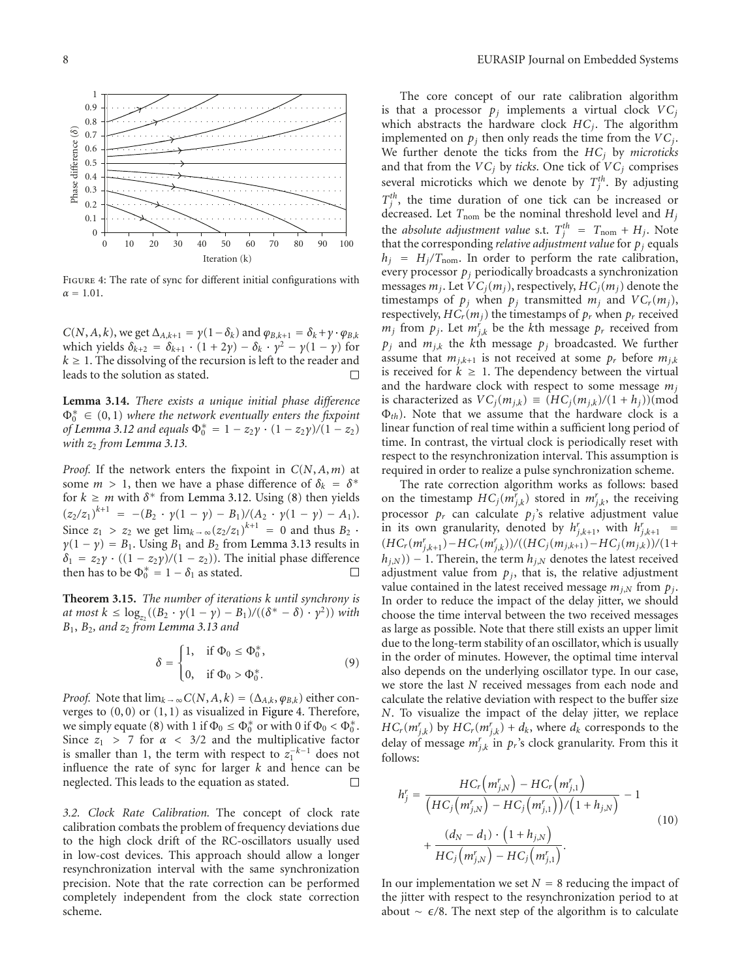

FIGURE 4: The rate of sync for different initial configurations with  $\alpha = 1.01$ .

*C*(*N*, *A*, *k*), we get  $\Delta_{A,k+1} = \gamma(1-\delta_k)$  and  $\varphi_{B,k+1} = \delta_k + \gamma \cdot \varphi_{B,k}$ which yields  $\delta_{k+2} = \delta_{k+1} \cdot (1 + 2\gamma) - \delta_k \cdot \gamma^2 - \gamma(1 - \gamma)$  for  $k \geq 1$ . The dissolving of the recursion is left to the reader and leads to the solution as stated. leads to the solution as stated.

**Lemma 3.14.** *There exists a unique initial phase difference*  $\Phi_0^*$  ∈ (0,1) where the network eventually enters the fixpoint *of* Lemma 3.12 and equals  $\Phi_0^* = 1 - z_2 \gamma \cdot (1 - z_2 \gamma)/(1 - z_2)$ *with z*<sup>2</sup> *from Lemma 3.13.*

*Proof.* If the network enters the fixpoint in  $C(N, A, m)$  at some  $m > 1$ , then we have a phase difference of  $\delta_k = \delta^*$ for  $k \ge m$  with  $\delta^*$  from Lemma 3.12. Using (8) then yields  $(z_2/z_1)^{k+1}$  =  $-(B_2 \cdot \gamma(1-\gamma) - B_1)/(A_2 \cdot \gamma(1-\gamma) - A_1).$ Since  $z_1 > z_2$  we get  $\lim_{k \to \infty} (z_2/z_1)^{k+1} = 0$  and thus  $B_2$ .  $\gamma(1 - \gamma) = B_1$ . Using  $B_1$  and  $B_2$  from Lemma 3.13 results in  $\delta_1 = z_2 \gamma \cdot ((1 - z_2 \gamma)/(1 - z_2))$ . The initial phase difference then has to be  $\Phi_0^* = 1 - \delta_1$  as stated. then has to be  $\Phi_0^* = 1 - \delta_1$  as stated.

**Theorem 3.15.** *The number of iterations k until synchrony is*  $\int_{0}^{2\pi} f(x) \, dx \leq \log_{z_2}((B_2 \cdot \gamma(1-\gamma) - B_1)/((\delta^* - \delta) \cdot \gamma^2))$  with *B*1, *B*2*, and z*<sup>2</sup> *from Lemma 3.13 and*

$$
\delta = \begin{cases} 1, & \text{if } \Phi_0 \le \Phi_0^*, \\ 0, & \text{if } \Phi_0 > \Phi_0^*. \end{cases}
$$
(9)

*Proof.* Note that  $\lim_{k \to \infty} C(N, A, k) = (\Delta_{A,k}, \varphi_{B,k})$  either converges to  $(0, 0)$  or  $(1, 1)$  as visualized in Figure 4. Therefore, we simply equate (8) with 1 if  $\Phi_0 \leq \Phi_0^*$  or with 0 if  $\Phi_0 < \Phi_0^*$ . Since  $z_1$  > 7 for  $\alpha$  < 3/2 and the multiplicative factor is smaller than 1, the term with respect to  $z_1^{-k-1}$  does not influence the rate of sync for larger *k* and hence can be neglected. This leads to the equation as stated.  $\Box$ 

*3.2. Clock Rate Calibration.* The concept of clock rate calibration combats the problem of frequency deviations due to the high clock drift of the RC-oscillators usually used in low-cost devices. This approach should allow a longer resynchronization interval with the same synchronization precision. Note that the rate correction can be performed completely independent from the clock state correction scheme.

The core concept of our rate calibration algorithm is that a processor  $p_i$  implements a virtual clock  $VC_i$ which abstracts the hardware clock *HCj*. The algorithm implemented on  $p_i$  then only reads the time from the  $VC_i$ . We further denote the ticks from the *HCj* by *microticks* and that from the  $VC_j$  by *ticks*. One tick of  $VC_j$  comprises several microticks which we denote by  $T_j^{th}$ . By adjusting  $T_j^{th}$ , the time duration of one tick can be increased or decreased. Let *T*nom be the nominal threshold level and *Hj* the *absolute adjustment value* s.t.  $T_j^{th} = T_{\text{nom}} + H_j$ . Note that the corresponding *relative adjustment value* for *pj* equals  $h_i = H_i/T_{\text{nom}}$ . In order to perform the rate calibration, every processor *pj* periodically broadcasts a synchronization messages  $m_j$ . Let  $VC_j(m_j)$ , respectively,  $HC_j(m_j)$  denote the timestamps of  $p_j$  when  $p_j$  transmitted  $m_j$  and  $VC_r(m_j)$ , respectively,  $HC_r(m_i)$  the timestamps of  $p_r$  when  $p_r$  received  $m_j$  from  $p_j$ . Let  $m_{j,k}^r$  be the *k*th message  $p_r$  received from  $p_j$  and  $m_{j,k}$  the *k*th message  $p_j$  broadcasted. We further assume that  $m_{i,k+1}$  is not received at some  $p_r$  before  $m_{i,k}$ is received for  $k \geq 1$ . The dependency between the virtual and the hardware clock with respect to some message *mj* is characterized as  $VC_j(m_{j,k}) \equiv (HC_j(m_{j,k})/(1 + h_j))$ (mod Φ*th*). Note that we assume that the hardware clock is a linear function of real time within a sufficient long period of time. In contrast, the virtual clock is periodically reset with respect to the resynchronization interval. This assumption is required in order to realize a pulse synchronization scheme.

The rate correction algorithm works as follows: based on the timestamp  $HC_j(m_{j,k}^r)$  stored in  $m_{j,k}^r$ , the receiving processor  $p_r$  can calculate  $p_j$ 's relative adjustment value in its own granularity, denoted by  $h_{j,k+1}^r$ , with  $h_{j,k+1}^r$  = (*HCr*(*mr j*,*k*+1)−*HCr*(*mr <sup>j</sup>*,*k*))*/*((*HCj*(*mj*,*k*+1)−*HCj*(*mj*,*k*))*/*(1+  $h_{i,N}$ )) − 1. Therein, the term  $h_{i,N}$  denotes the latest received adjustment value from  $p_i$ , that is, the relative adjustment value contained in the latest received message  $m_{i,N}$  from  $p_i$ . In order to reduce the impact of the delay jitter, we should choose the time interval between the two received messages as large as possible. Note that there still exists an upper limit due to the long-term stability of an oscillator, which is usually in the order of minutes. However, the optimal time interval also depends on the underlying oscillator type. In our case, we store the last *N* received messages from each node and calculate the relative deviation with respect to the buffer size *N*. To visualize the impact of the delay jitter, we replace  $HC_r(m^r_{j,k})$  by  $HC_r(m^r_{j,k}) + d_k$ , where  $d_k$  corresponds to the delay of message  $m_{j,k}^r$  in  $p_r$ 's clock granularity. From this it follows:

$$
h_j^r = \frac{HC_r(m_{j,N}^r) - HC_r(m_{j,1}^r)}{(HC_j(m_{j,N}^r) - HC_j(m_{j,1}^r))/(1 + h_{j,N})} - 1
$$
  
+ 
$$
\frac{(d_N - d_1) \cdot (1 + h_{j,N})}{HC_j(m_{j,N}^r) - HC_j(m_{j,1}^r)}.
$$
 (10)

In our implementation we set  $N = 8$  reducing the impact of the jitter with respect to the resynchronization period to at about ∼  $\epsilon$ /8. The next step of the algorithm is to calculate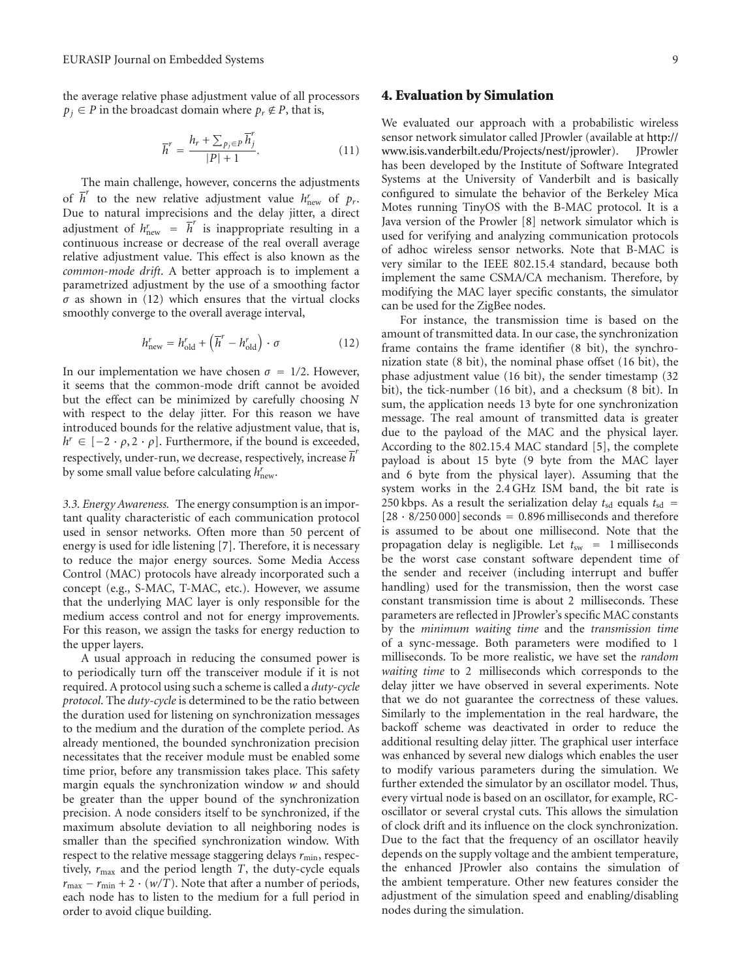the average relative phase adjustment value of all processors  $p_j \in P$  in the broadcast domain where  $p_r \notin P$ , that is,

$$
\overline{h}^r = \frac{h_r + \sum_{p_j \in P} \overline{h}'_j}{|P| + 1}.
$$
 (11)

The main challenge, however, concerns the adjustments of  $\overline{h}^r$  to the new relative adjustment value  $h_{\text{new}}^r$  of  $p_r$ . Due to natural imprecisions and the delay jitter, a direct adjustment of  $h_{\text{new}}^r = \overline{h}^r$  is inappropriate resulting in a continuous increase or decrease of the real overall average relative adjustment value. This effect is also known as the *common-mode drift*. A better approach is to implement a parametrized adjustment by the use of a smoothing factor *σ* as shown in (12) which ensures that the virtual clocks smoothly converge to the overall average interval,

$$
h_{\text{new}}^r = h_{\text{old}}^r + \left(\overline{h}^r - h_{\text{old}}^r\right) \cdot \sigma \tag{12}
$$

In our implementation we have chosen  $\sigma = 1/2$ . However, it seems that the common-mode drift cannot be avoided but the effect can be minimized by carefully choosing *N* with respect to the delay jitter. For this reason we have introduced bounds for the relative adjustment value, that is,  $h^r \in [-2 \cdot \rho, 2 \cdot \rho]$ . Furthermore, if the bound is exceeded, respectively, under-run, we decrease, respectively, increase *h r* by some small value before calculating  $h_{\text{new}}^r$ .

*3.3. Energy Awareness.* The energy consumption is an important quality characteristic of each communication protocol used in sensor networks. Often more than 50 percent of energy is used for idle listening [7]. Therefore, it is necessary to reduce the major energy sources. Some Media Access Control (MAC) protocols have already incorporated such a concept (e.g., S-MAC, T-MAC, etc.). However, we assume that the underlying MAC layer is only responsible for the medium access control and not for energy improvements. For this reason, we assign the tasks for energy reduction to the upper layers.

A usual approach in reducing the consumed power is to periodically turn off the transceiver module if it is not required. A protocol using such a scheme is called a *duty-cycle protocol*. The *duty-cycle* is determined to be the ratio between the duration used for listening on synchronization messages to the medium and the duration of the complete period. As already mentioned, the bounded synchronization precision necessitates that the receiver module must be enabled some time prior, before any transmission takes place. This safety margin equals the synchronization window *w* and should be greater than the upper bound of the synchronization precision. A node considers itself to be synchronized, if the maximum absolute deviation to all neighboring nodes is smaller than the specified synchronization window. With respect to the relative message staggering delays  $r_{\text{min}}$ , respectively, *r*max and the period length *T*, the duty-cycle equals  $r_{\text{max}} - r_{\text{min}} + 2 \cdot (w/T)$ . Note that after a number of periods, each node has to listen to the medium for a full period in order to avoid clique building.

## **4. Evaluation by Simulation**

We evaluated our approach with a probabilistic wireless sensor network simulator called JProwler (available at http:// www.isis.vanderbilt.edu/Projects/nest/jprowler). JProwler has been developed by the Institute of Software Integrated Systems at the University of Vanderbilt and is basically configured to simulate the behavior of the Berkeley Mica Motes running TinyOS with the B-MAC protocol. It is a Java version of the Prowler [8] network simulator which is used for verifying and analyzing communication protocols of adhoc wireless sensor networks. Note that B-MAC is very similar to the IEEE 802.15.4 standard, because both implement the same CSMA/CA mechanism. Therefore, by modifying the MAC layer specific constants, the simulator can be used for the ZigBee nodes.

For instance, the transmission time is based on the amount of transmitted data. In our case, the synchronization frame contains the frame identifier (8 bit), the synchronization state (8 bit), the nominal phase offset (16 bit), the phase adjustment value (16 bit), the sender timestamp (32 bit), the tick-number (16 bit), and a checksum (8 bit). In sum, the application needs 13 byte for one synchronization message. The real amount of transmitted data is greater due to the payload of the MAC and the physical layer. According to the 802.15.4 MAC standard [5], the complete payload is about 15 byte (9 byte from the MAC layer and 6 byte from the physical layer). Assuming that the system works in the 2.4 GHz ISM band, the bit rate is 250 kbps. As a result the serialization delay  $t_{sd}$  equals  $t_{sd}$  = [28 · 8*/*250 000] seconds = 0*.*896 milliseconds and therefore is assumed to be about one millisecond. Note that the propagation delay is negligible. Let  $t_{sw}$  = 1 milliseconds be the worst case constant software dependent time of the sender and receiver (including interrupt and buffer handling) used for the transmission, then the worst case constant transmission time is about 2 milliseconds. These parameters are reflected in JProwler's specific MAC constants by the *minimum waiting time* and the *transmission time* of a sync-message. Both parameters were modified to 1 milliseconds. To be more realistic, we have set the *random waiting time* to 2 milliseconds which corresponds to the delay jitter we have observed in several experiments. Note that we do not guarantee the correctness of these values. Similarly to the implementation in the real hardware, the backoff scheme was deactivated in order to reduce the additional resulting delay jitter. The graphical user interface was enhanced by several new dialogs which enables the user to modify various parameters during the simulation. We further extended the simulator by an oscillator model. Thus, every virtual node is based on an oscillator, for example, RCoscillator or several crystal cuts. This allows the simulation of clock drift and its influence on the clock synchronization. Due to the fact that the frequency of an oscillator heavily depends on the supply voltage and the ambient temperature, the enhanced JProwler also contains the simulation of the ambient temperature. Other new features consider the adjustment of the simulation speed and enabling/disabling nodes during the simulation.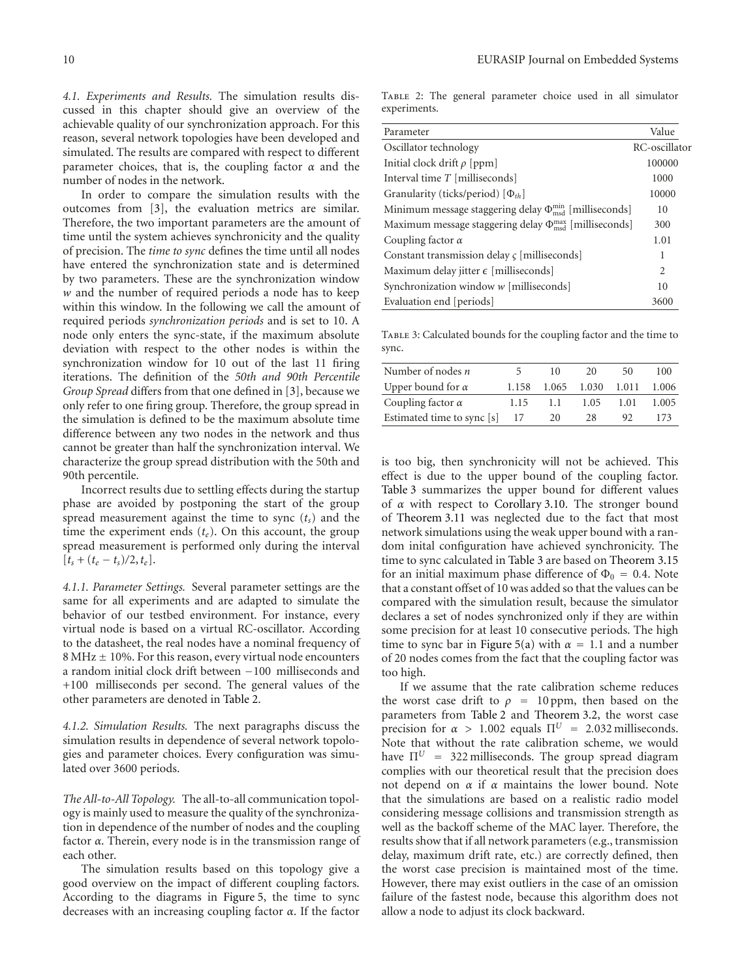*4.1. Experiments and Results.* The simulation results discussed in this chapter should give an overview of the achievable quality of our synchronization approach. For this reason, several network topologies have been developed and simulated. The results are compared with respect to different parameter choices, that is, the coupling factor *α* and the number of nodes in the network.

In order to compare the simulation results with the outcomes from [3], the evaluation metrics are similar. Therefore, the two important parameters are the amount of time until the system achieves synchronicity and the quality of precision. The *time to sync* defines the time until all nodes have entered the synchronization state and is determined by two parameters. These are the synchronization window *w* and the number of required periods a node has to keep within this window. In the following we call the amount of required periods *synchronization periods* and is set to 10. A node only enters the sync-state, if the maximum absolute deviation with respect to the other nodes is within the synchronization window for 10 out of the last 11 firing iterations. The definition of the *50th and 90th Percentile Group Spread* differs from that one defined in [3], because we only refer to one firing group. Therefore, the group spread in the simulation is defined to be the maximum absolute time difference between any two nodes in the network and thus cannot be greater than half the synchronization interval. We characterize the group spread distribution with the 50th and 90th percentile.

Incorrect results due to settling effects during the startup phase are avoided by postponing the start of the group spread measurement against the time to sync  $(t<sub>s</sub>)$  and the time the experiment ends  $(t_e)$ . On this account, the group spread measurement is performed only during the interval  $[t_s + (t_e - t_s)/2, t_e].$ 

*4.1.1. Parameter Settings.* Several parameter settings are the same for all experiments and are adapted to simulate the behavior of our testbed environment. For instance, every virtual node is based on a virtual RC-oscillator. According to the datasheet, the real nodes have a nominal frequency of  $8$  MHz  $\pm$  10%. For this reason, every virtual node encounters a random initial clock drift between −100 milliseconds and +100 milliseconds per second. The general values of the other parameters are denoted in Table 2.

*4.1.2. Simulation Results.* The next paragraphs discuss the simulation results in dependence of several network topologies and parameter choices. Every configuration was simulated over 3600 periods.

*The All-to-All Topology.* The all-to-all communication topology is mainly used to measure the quality of the synchronization in dependence of the number of nodes and the coupling factor *α*. Therein, every node is in the transmission range of each other.

The simulation results based on this topology give a good overview on the impact of different coupling factors. According to the diagrams in Figure 5, the time to sync decreases with an increasing coupling factor *α*. If the factor

Table 2: The general parameter choice used in all simulator experiments.

| Parameter                                                                        | Value         |
|----------------------------------------------------------------------------------|---------------|
| Oscillator technology                                                            | RC-oscillator |
| Initial clock drift $\rho$ [ppm]                                                 | 100000        |
| Interval time $T$ [milliseconds]                                                 | 1000          |
| Granularity (ticks/period) $[\Phi_{th}]$                                         | 10000         |
| Minimum message staggering delay $\Phi_{\text{msd}}^{\text{min}}$ [milliseconds] | 10            |
| Maximum message staggering delay $\Phi_{\text{msd}}^{\text{max}}$ [milliseconds] | 300           |
| Coupling factor $\alpha$                                                         | 1.01          |
| Constant transmission delay $\varsigma$ [milliseconds]                           | 1             |
| Maximum delay jitter $\epsilon$ [milliseconds]                                   | 2             |
| Synchronization window $w$ [milliseconds]                                        | 10            |
| Evaluation end [periods]                                                         | 3600          |

Table 3: Calculated bounds for the coupling factor and the time to sync.

| Number of nodes $n$        | 5     | 10    | 20    | 50    | 100   |
|----------------------------|-------|-------|-------|-------|-------|
| Upper bound for $\alpha$   | 1.158 | 1.065 | 1.030 | 1.011 | 1.006 |
| Coupling factor $\alpha$   | 1.15  | -1.1  | 1.05  | 1.01  | 1.005 |
| Estimated time to sync [s] | 17    | 20    | 28    | 92    | 173   |

is too big, then synchronicity will not be achieved. This effect is due to the upper bound of the coupling factor. Table 3 summarizes the upper bound for different values of *α* with respect to Corollary 3.10. The stronger bound of Theorem 3.11 was neglected due to the fact that most network simulations using the weak upper bound with a random inital configuration have achieved synchronicity. The time to sync calculated in Table 3 are based on Theorem 3.15 for an initial maximum phase difference of  $\Phi_0 = 0.4$ . Note that a constant offset of 10 was added so that the values can be compared with the simulation result, because the simulator declares a set of nodes synchronized only if they are within some precision for at least 10 consecutive periods. The high time to sync bar in Figure 5(a) with  $\alpha = 1.1$  and a number of 20 nodes comes from the fact that the coupling factor was too high.

If we assume that the rate calibration scheme reduces the worst case drift to  $\rho = 10$  ppm, then based on the parameters from Table 2 and Theorem 3.2, the worst case precision for  $\alpha > 1.002$  equals  $\Pi^U = 2.032$  milliseconds. Note that without the rate calibration scheme, we would have  $\Pi^{U}$  = 322 milliseconds. The group spread diagram complies with our theoretical result that the precision does not depend on *α* if *α* maintains the lower bound. Note that the simulations are based on a realistic radio model considering message collisions and transmission strength as well as the backoff scheme of the MAC layer. Therefore, the results show that if all network parameters (e.g., transmission delay, maximum drift rate, etc.) are correctly defined, then the worst case precision is maintained most of the time. However, there may exist outliers in the case of an omission failure of the fastest node, because this algorithm does not allow a node to adjust its clock backward.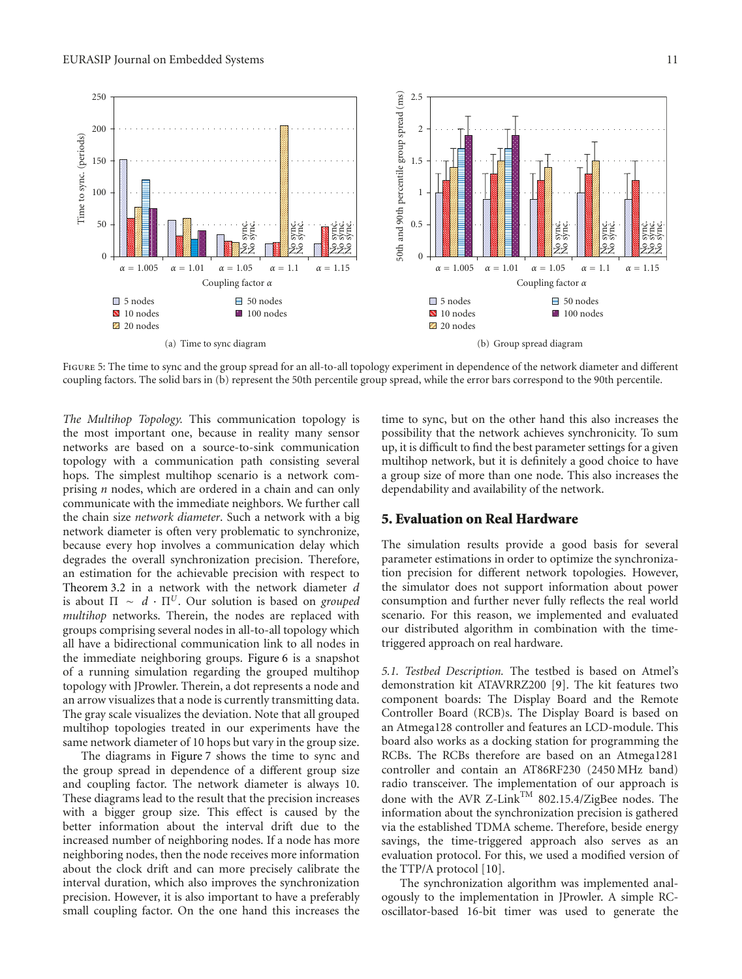

FIGURE 5: The time to sync and the group spread for an all-to-all topology experiment in dependence of the network diameter and different coupling factors. The solid bars in (b) represent the 50th percentile group spread, while the error bars correspond to the 90th percentile.

*The Multihop Topology.* This communication topology is the most important one, because in reality many sensor networks are based on a source-to-sink communication topology with a communication path consisting several hops. The simplest multihop scenario is a network comprising *n* nodes, which are ordered in a chain and can only communicate with the immediate neighbors. We further call the chain size *network diameter*. Such a network with a big network diameter is often very problematic to synchronize, because every hop involves a communication delay which degrades the overall synchronization precision. Therefore, an estimation for the achievable precision with respect to Theorem 3.2 in a network with the network diameter *d* is about  $\Pi \sim d \cdot \Pi^U$ . Our solution is based on *grouped multihop* networks. Therein, the nodes are replaced with groups comprising several nodes in all-to-all topology which all have a bidirectional communication link to all nodes in the immediate neighboring groups. Figure 6 is a snapshot of a running simulation regarding the grouped multihop topology with JProwler. Therein, a dot represents a node and an arrow visualizes that a node is currently transmitting data. The gray scale visualizes the deviation. Note that all grouped multihop topologies treated in our experiments have the same network diameter of 10 hops but vary in the group size.

The diagrams in Figure 7 shows the time to sync and the group spread in dependence of a different group size and coupling factor. The network diameter is always 10. These diagrams lead to the result that the precision increases with a bigger group size. This effect is caused by the better information about the interval drift due to the increased number of neighboring nodes. If a node has more neighboring nodes, then the node receives more information about the clock drift and can more precisely calibrate the interval duration, which also improves the synchronization precision. However, it is also important to have a preferably small coupling factor. On the one hand this increases the

time to sync, but on the other hand this also increases the possibility that the network achieves synchronicity. To sum up, it is difficult to find the best parameter settings for a given multihop network, but it is definitely a good choice to have a group size of more than one node. This also increases the dependability and availability of the network.

## **5. Evaluation on Real Hardware**

The simulation results provide a good basis for several parameter estimations in order to optimize the synchronization precision for different network topologies. However, the simulator does not support information about power consumption and further never fully reflects the real world scenario. For this reason, we implemented and evaluated our distributed algorithm in combination with the timetriggered approach on real hardware.

*5.1. Testbed Description.* The testbed is based on Atmel's demonstration kit ATAVRRZ200 [9]. The kit features two component boards: The Display Board and the Remote Controller Board (RCB)s. The Display Board is based on an Atmega128 controller and features an LCD-module. This board also works as a docking station for programming the RCBs. The RCBs therefore are based on an Atmega1281 controller and contain an AT86RF230 (2450 MHz band) radio transceiver. The implementation of our approach is done with the AVR Z-Link<sup>TM</sup> 802.15.4/ZigBee nodes. The information about the synchronization precision is gathered via the established TDMA scheme. Therefore, beside energy savings, the time-triggered approach also serves as an evaluation protocol. For this, we used a modified version of the TTP/A protocol [10].

The synchronization algorithm was implemented analogously to the implementation in JProwler. A simple RCoscillator-based 16-bit timer was used to generate the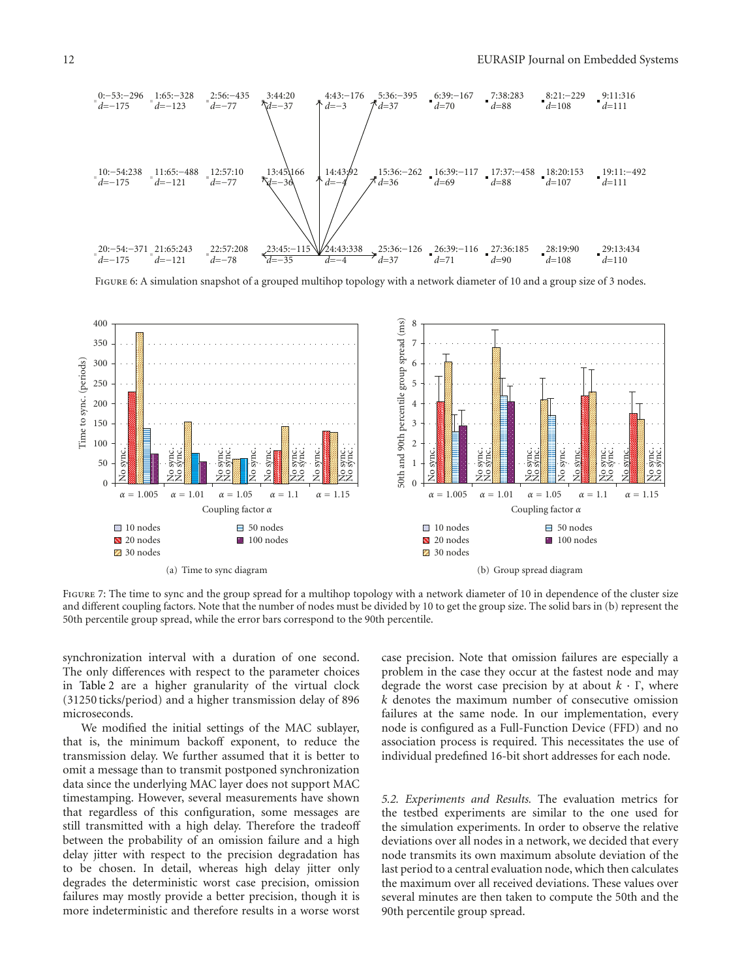

FIGURE 6: A simulation snapshot of a grouped multihop topology with a network diameter of 10 and a group size of 3 nodes.



FIGURE 7: The time to sync and the group spread for a multihop topology with a network diameter of 10 in dependence of the cluster size and different coupling factors. Note that the number of nodes must be divided by 10 to get the group size. The solid bars in (b) represent the 50th percentile group spread, while the error bars correspond to the 90th percentile.

synchronization interval with a duration of one second. The only differences with respect to the parameter choices in Table 2 are a higher granularity of the virtual clock (31250 ticks/period) and a higher transmission delay of 896 microseconds.

We modified the initial settings of the MAC sublayer, that is, the minimum backoff exponent, to reduce the transmission delay. We further assumed that it is better to omit a message than to transmit postponed synchronization data since the underlying MAC layer does not support MAC timestamping. However, several measurements have shown that regardless of this configuration, some messages are still transmitted with a high delay. Therefore the tradeoff between the probability of an omission failure and a high delay jitter with respect to the precision degradation has to be chosen. In detail, whereas high delay jitter only degrades the deterministic worst case precision, omission failures may mostly provide a better precision, though it is more indeterministic and therefore results in a worse worst

case precision. Note that omission failures are especially a problem in the case they occur at the fastest node and may degrade the worst case precision by at about *k* · Γ, where *k* denotes the maximum number of consecutive omission failures at the same node. In our implementation, every node is configured as a Full-Function Device (FFD) and no association process is required. This necessitates the use of individual predefined 16-bit short addresses for each node.

*5.2. Experiments and Results.* The evaluation metrics for the testbed experiments are similar to the one used for the simulation experiments. In order to observe the relative deviations over all nodes in a network, we decided that every node transmits its own maximum absolute deviation of the last period to a central evaluation node, which then calculates the maximum over all received deviations. These values over several minutes are then taken to compute the 50th and the 90th percentile group spread.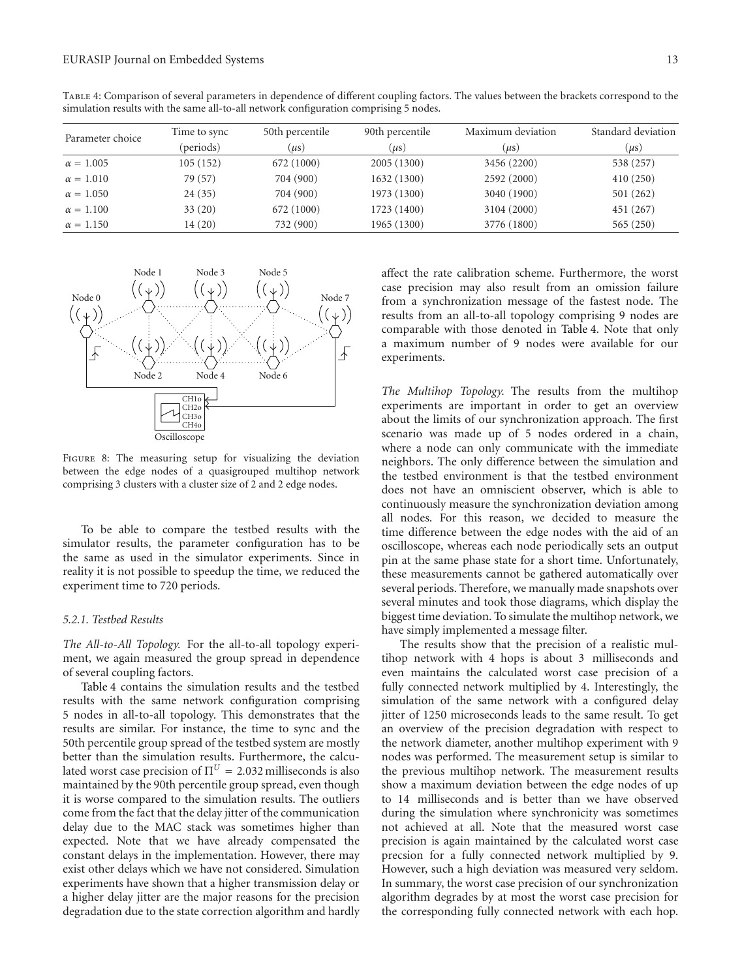| Parameter choice | Time to sync | 50th percentile | 90th percentile | Maximum deviation | Standard deviation |
|------------------|--------------|-----------------|-----------------|-------------------|--------------------|
|                  | (periods)    | $(\mu s)$       | $(\mu s)$       | $(\mu s)$         | $(\mu s)$          |
| $\alpha = 1.005$ | 105(152)     | 672 (1000)      | 2005 (1300)     | 3456 (2200)       | 538 (257)          |
| $\alpha = 1.010$ | 79 (57)      | 704 (900)       | 1632 (1300)     | 2592 (2000)       | 410(250)           |
| $\alpha = 1.050$ | 24(35)       | 704 (900)       | 1973 (1300)     | 3040 (1900)       | 501(262)           |
| $\alpha = 1.100$ | 33(20)       | 672 (1000)      | 1723 (1400)     | 3104 (2000)       | 451 (267)          |
| $\alpha = 1.150$ | 14(20)       | 732 (900)       | 1965 (1300)     | 3776 (1800)       | 565(250)           |

Table 4: Comparison of several parameters in dependence of different coupling factors. The values between the brackets correspond to the simulation results with the same all-to-all network configuration comprising 5 nodes.



FIGURE 8: The measuring setup for visualizing the deviation between the edge nodes of a quasigrouped multihop network comprising 3 clusters with a cluster size of 2 and 2 edge nodes.

To be able to compare the testbed results with the simulator results, the parameter configuration has to be the same as used in the simulator experiments. Since in reality it is not possible to speedup the time, we reduced the experiment time to 720 periods.

#### *5.2.1. Testbed Results*

*The All-to-All Topology.* For the all-to-all topology experiment, we again measured the group spread in dependence of several coupling factors.

Table 4 contains the simulation results and the testbed results with the same network configuration comprising 5 nodes in all-to-all topology. This demonstrates that the results are similar. For instance, the time to sync and the 50th percentile group spread of the testbed system are mostly better than the simulation results. Furthermore, the calculated worst case precision of  $\Pi^U = 2.032$  milliseconds is also maintained by the 90th percentile group spread, even though it is worse compared to the simulation results. The outliers come from the fact that the delay jitter of the communication delay due to the MAC stack was sometimes higher than expected. Note that we have already compensated the constant delays in the implementation. However, there may exist other delays which we have not considered. Simulation experiments have shown that a higher transmission delay or a higher delay jitter are the major reasons for the precision degradation due to the state correction algorithm and hardly affect the rate calibration scheme. Furthermore, the worst case precision may also result from an omission failure from a synchronization message of the fastest node. The results from an all-to-all topology comprising 9 nodes are comparable with those denoted in Table 4. Note that only a maximum number of 9 nodes were available for our experiments.

*The Multihop Topology.* The results from the multihop experiments are important in order to get an overview about the limits of our synchronization approach. The first scenario was made up of 5 nodes ordered in a chain, where a node can only communicate with the immediate neighbors. The only difference between the simulation and the testbed environment is that the testbed environment does not have an omniscient observer, which is able to continuously measure the synchronization deviation among all nodes. For this reason, we decided to measure the time difference between the edge nodes with the aid of an oscilloscope, whereas each node periodically sets an output pin at the same phase state for a short time. Unfortunately, these measurements cannot be gathered automatically over several periods. Therefore, we manually made snapshots over several minutes and took those diagrams, which display the biggest time deviation. To simulate the multihop network, we have simply implemented a message filter.

The results show that the precision of a realistic multihop network with 4 hops is about 3 milliseconds and even maintains the calculated worst case precision of a fully connected network multiplied by 4. Interestingly, the simulation of the same network with a configured delay jitter of 1250 microseconds leads to the same result. To get an overview of the precision degradation with respect to the network diameter, another multihop experiment with 9 nodes was performed. The measurement setup is similar to the previous multihop network. The measurement results show a maximum deviation between the edge nodes of up to 14 milliseconds and is better than we have observed during the simulation where synchronicity was sometimes not achieved at all. Note that the measured worst case precision is again maintained by the calculated worst case precsion for a fully connected network multiplied by 9. However, such a high deviation was measured very seldom. In summary, the worst case precision of our synchronization algorithm degrades by at most the worst case precision for the corresponding fully connected network with each hop.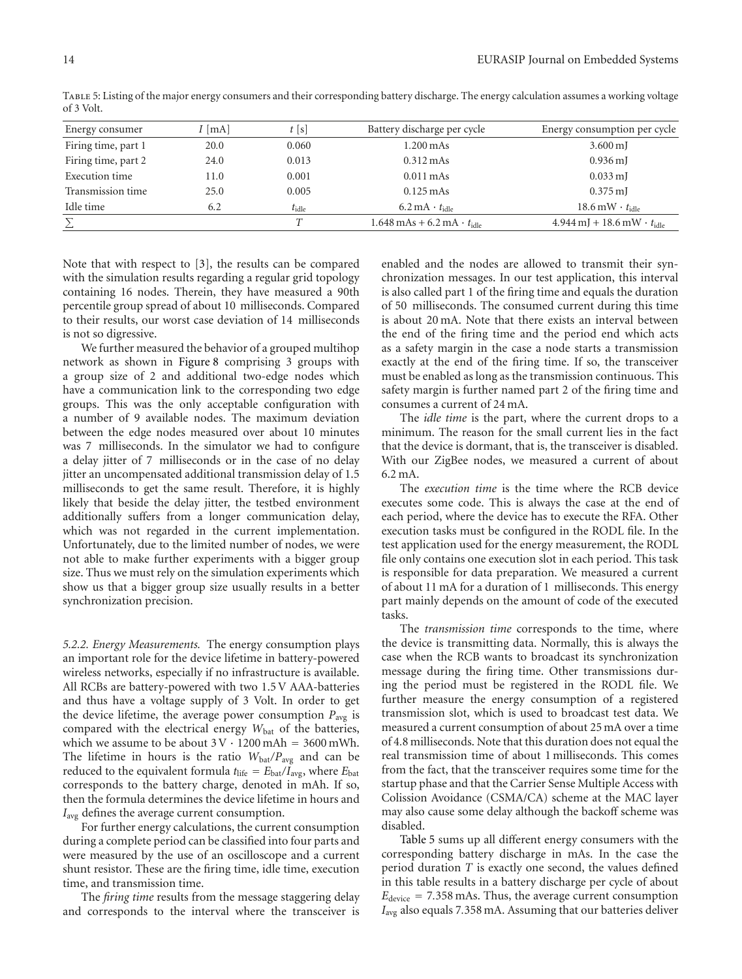| Energy consumer     | $\lceil$ mA $\rceil$ | t  s           | Battery discharge per cycle                               | Energy consumption per cycle                              |
|---------------------|----------------------|----------------|-----------------------------------------------------------|-----------------------------------------------------------|
| Firing time, part 1 | 20.0                 | 0.060          | 1.200 mAs                                                 | $3.600 \,\mathrm{m}$                                      |
| Firing time, part 2 | 24.0                 | 0.013          | $0.312 \text{ mAs}$                                       | $0.936 \,\mathrm{m}$                                      |
| Execution time      | 11.0                 | 0.001          | $0.011 \,\mathrm{mAs}$                                    | $0.033 \,\mathrm{m}$                                      |
| Transmission time   | 25.0                 | 0.005          | $0.125 \,\mathrm{mAs}$                                    | $0.375 \,\mathrm{m}$                                      |
| Idle time           | 6.2                  | $t_{\rm idle}$ | $6.2 \text{ mA} \cdot t_{\text{idle}}$                    | $18.6 \,\mathrm{mW} \cdot t_{\text{idle}}$                |
|                     |                      | Т              | $1.648 \text{ mA} + 6.2 \text{ mA} \cdot t_{\text{idle}}$ | $4.944 \text{ m} + 18.6 \text{ mW} \cdot t_{\text{idle}}$ |

Table 5: Listing of the major energy consumers and their corresponding battery discharge. The energy calculation assumes a working voltage of 3 Volt.

Note that with respect to [3], the results can be compared with the simulation results regarding a regular grid topology containing 16 nodes. Therein, they have measured a 90th percentile group spread of about 10 milliseconds. Compared to their results, our worst case deviation of 14 milliseconds is not so digressive.

We further measured the behavior of a grouped multihop network as shown in Figure 8 comprising 3 groups with a group size of 2 and additional two-edge nodes which have a communication link to the corresponding two edge groups. This was the only acceptable configuration with a number of 9 available nodes. The maximum deviation between the edge nodes measured over about 10 minutes was 7 milliseconds. In the simulator we had to configure a delay jitter of 7 milliseconds or in the case of no delay jitter an uncompensated additional transmission delay of 1.5 milliseconds to get the same result. Therefore, it is highly likely that beside the delay jitter, the testbed environment additionally suffers from a longer communication delay, which was not regarded in the current implementation. Unfortunately, due to the limited number of nodes, we were not able to make further experiments with a bigger group size. Thus we must rely on the simulation experiments which show us that a bigger group size usually results in a better synchronization precision.

*5.2.2. Energy Measurements.* The energy consumption plays an important role for the device lifetime in battery-powered wireless networks, especially if no infrastructure is available. All RCBs are battery-powered with two 1.5 V AAA-batteries and thus have a voltage supply of 3 Volt. In order to get the device lifetime, the average power consumption  $P_{\text{avg}}$  is compared with the electrical energy  $W<sub>bat</sub>$  of the batteries, which we assume to be about  $3V \cdot 1200$  mAh = 3600 mWh. The lifetime in hours is the ratio  $W_{\text{bat}}/P_{\text{avg}}$  and can be reduced to the equivalent formula  $t_{\text{life}} = E_{\text{bat}}/I_{\text{avg}}$ , where  $E_{\text{bat}}$ corresponds to the battery charge, denoted in mAh. If so, then the formula determines the device lifetime in hours and *I*avg defines the average current consumption.

For further energy calculations, the current consumption during a complete period can be classified into four parts and were measured by the use of an oscilloscope and a current shunt resistor. These are the firing time, idle time, execution time, and transmission time.

The *firing time* results from the message staggering delay and corresponds to the interval where the transceiver is

enabled and the nodes are allowed to transmit their synchronization messages. In our test application, this interval is also called part 1 of the firing time and equals the duration of 50 milliseconds. The consumed current during this time is about 20 mA. Note that there exists an interval between the end of the firing time and the period end which acts as a safety margin in the case a node starts a transmission exactly at the end of the firing time. If so, the transceiver must be enabled as long as the transmission continuous. This safety margin is further named part 2 of the firing time and consumes a current of 24 mA.

The *idle time* is the part, where the current drops to a minimum. The reason for the small current lies in the fact that the device is dormant, that is, the transceiver is disabled. With our ZigBee nodes, we measured a current of about 6.2 mA.

The *execution time* is the time where the RCB device executes some code. This is always the case at the end of each period, where the device has to execute the RFA. Other execution tasks must be configured in the RODL file. In the test application used for the energy measurement, the RODL file only contains one execution slot in each period. This task is responsible for data preparation. We measured a current of about 11 mA for a duration of 1 milliseconds. This energy part mainly depends on the amount of code of the executed tasks.

The *transmission time* corresponds to the time, where the device is transmitting data. Normally, this is always the case when the RCB wants to broadcast its synchronization message during the firing time. Other transmissions during the period must be registered in the RODL file. We further measure the energy consumption of a registered transmission slot, which is used to broadcast test data. We measured a current consumption of about 25 mA over a time of 4*.*8 milliseconds. Note that this duration does not equal the real transmission time of about 1 milliseconds. This comes from the fact, that the transceiver requires some time for the startup phase and that the Carrier Sense Multiple Access with Colission Avoidance (CSMA/CA) scheme at the MAC layer may also cause some delay although the backoff scheme was disabled.

Table 5 sums up all different energy consumers with the corresponding battery discharge in mAs. In the case the period duration *T* is exactly one second, the values defined in this table results in a battery discharge per cycle of about  $E_{\text{device}} = 7.358 \text{ mAs}$ . Thus, the average current consumption *I*avg also equals 7*.*358 mA. Assuming that our batteries deliver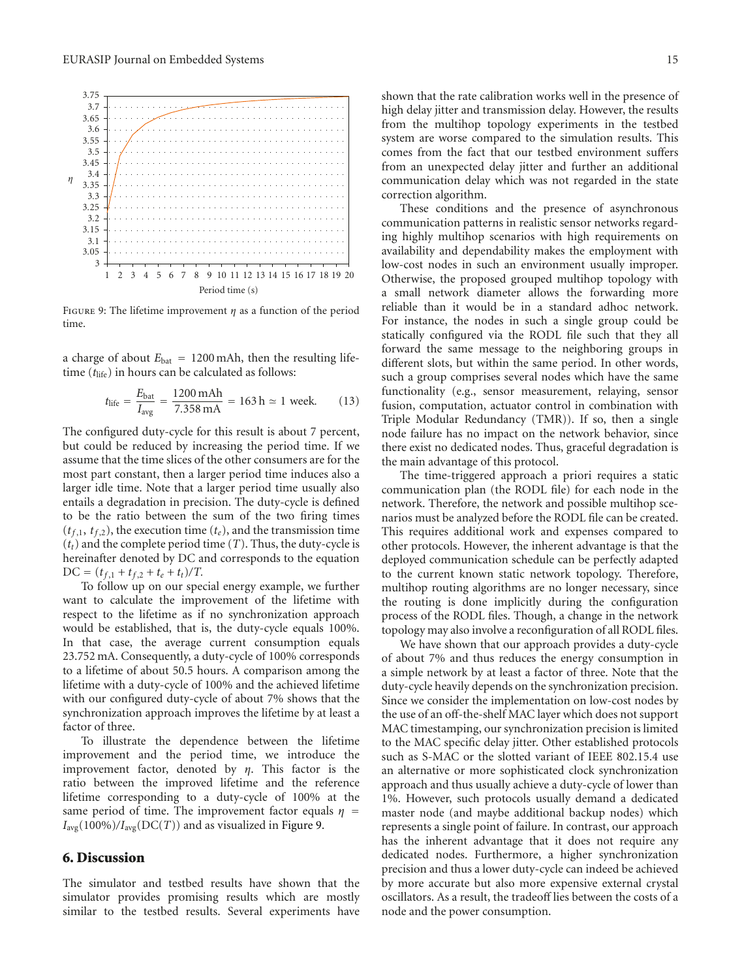

Figure 9: The lifetime improvement *η* as a function of the period time.

a charge of about  $E_{\text{bat}} = 1200 \text{ mA}$ , then the resulting lifetime  $(t<sub>life</sub>)$  in hours can be calculated as follows:

$$
t_{\text{life}} = \frac{E_{\text{bat}}}{I_{\text{avg}}} = \frac{1200 \text{ mA} \text{h}}{7.358 \text{ mA}} = 163 \text{ h} \approx 1 \text{ week.}
$$
 (13)

The configured duty-cycle for this result is about 7 percent, but could be reduced by increasing the period time. If we assume that the time slices of the other consumers are for the most part constant, then a larger period time induces also a larger idle time. Note that a larger period time usually also entails a degradation in precision. The duty-cycle is defined to be the ratio between the sum of the two firing times  $(t_{f,1}, t_{f,2})$ , the execution time  $(t_e)$ , and the transmission time  $(t_t)$  and the complete period time  $(T)$ . Thus, the duty-cycle is hereinafter denoted by DC and corresponds to the equation  $DC = (t_{f,1} + t_{f,2} + t_e + t_t)/T$ .

To follow up on our special energy example, we further want to calculate the improvement of the lifetime with respect to the lifetime as if no synchronization approach would be established, that is, the duty-cycle equals 100%. In that case, the average current consumption equals 23.752 mA. Consequently, a duty-cycle of 100% corresponds to a lifetime of about 50.5 hours. A comparison among the lifetime with a duty-cycle of 100% and the achieved lifetime with our configured duty-cycle of about 7% shows that the synchronization approach improves the lifetime by at least a factor of three.

To illustrate the dependence between the lifetime improvement and the period time, we introduce the improvement factor, denoted by *η*. This factor is the ratio between the improved lifetime and the reference lifetime corresponding to a duty-cycle of 100% at the same period of time. The improvement factor equals  $\eta$  =  $I_{\text{avg}}(100\%)/I_{\text{avg}}(DC(T))$  and as visualized in Figure 9.

## **6. Discussion**

The simulator and testbed results have shown that the simulator provides promising results which are mostly similar to the testbed results. Several experiments have

shown that the rate calibration works well in the presence of high delay jitter and transmission delay. However, the results from the multihop topology experiments in the testbed system are worse compared to the simulation results. This comes from the fact that our testbed environment suffers from an unexpected delay jitter and further an additional communication delay which was not regarded in the state correction algorithm.

These conditions and the presence of asynchronous communication patterns in realistic sensor networks regarding highly multihop scenarios with high requirements on availability and dependability makes the employment with low-cost nodes in such an environment usually improper. Otherwise, the proposed grouped multihop topology with a small network diameter allows the forwarding more reliable than it would be in a standard adhoc network. For instance, the nodes in such a single group could be statically configured via the RODL file such that they all forward the same message to the neighboring groups in different slots, but within the same period. In other words, such a group comprises several nodes which have the same functionality (e.g., sensor measurement, relaying, sensor fusion, computation, actuator control in combination with Triple Modular Redundancy (TMR)). If so, then a single node failure has no impact on the network behavior, since there exist no dedicated nodes. Thus, graceful degradation is the main advantage of this protocol.

The time-triggered approach a priori requires a static communication plan (the RODL file) for each node in the network. Therefore, the network and possible multihop scenarios must be analyzed before the RODL file can be created. This requires additional work and expenses compared to other protocols. However, the inherent advantage is that the deployed communication schedule can be perfectly adapted to the current known static network topology. Therefore, multihop routing algorithms are no longer necessary, since the routing is done implicitly during the configuration process of the RODL files. Though, a change in the network topology may also involve a reconfiguration of all RODL files.

We have shown that our approach provides a duty-cycle of about 7% and thus reduces the energy consumption in a simple network by at least a factor of three. Note that the duty-cycle heavily depends on the synchronization precision. Since we consider the implementation on low-cost nodes by the use of an off-the-shelf MAC layer which does not support MAC timestamping, our synchronization precision is limited to the MAC specific delay jitter. Other established protocols such as S-MAC or the slotted variant of IEEE 802.15.4 use an alternative or more sophisticated clock synchronization approach and thus usually achieve a duty-cycle of lower than 1%. However, such protocols usually demand a dedicated master node (and maybe additional backup nodes) which represents a single point of failure. In contrast, our approach has the inherent advantage that it does not require any dedicated nodes. Furthermore, a higher synchronization precision and thus a lower duty-cycle can indeed be achieved by more accurate but also more expensive external crystal oscillators. As a result, the tradeoff lies between the costs of a node and the power consumption.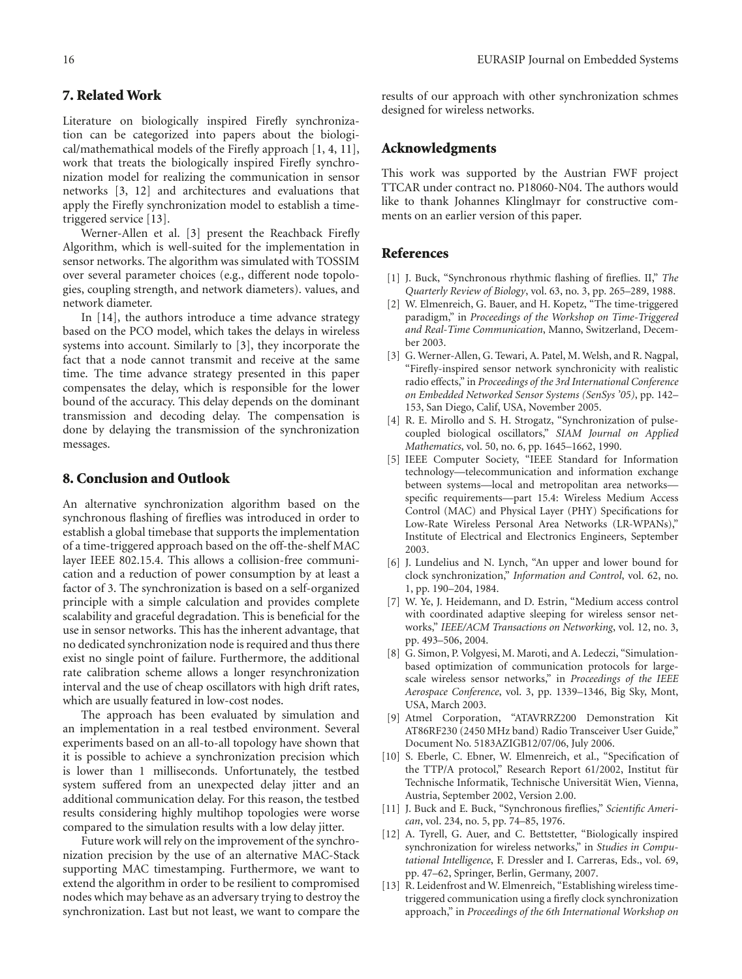## **7. Related Work**

Literature on biologically inspired Firefly synchronization can be categorized into papers about the biological/mathemathical models of the Firefly approach [1, 4, 11], work that treats the biologically inspired Firefly synchronization model for realizing the communication in sensor networks [3, 12] and architectures and evaluations that apply the Firefly synchronization model to establish a timetriggered service [13].

Werner-Allen et al. [3] present the Reachback Firefly Algorithm, which is well-suited for the implementation in sensor networks. The algorithm was simulated with TOSSIM over several parameter choices (e.g., different node topologies, coupling strength, and network diameters). values, and network diameter.

In [14], the authors introduce a time advance strategy based on the PCO model, which takes the delays in wireless systems into account. Similarly to [3], they incorporate the fact that a node cannot transmit and receive at the same time. The time advance strategy presented in this paper compensates the delay, which is responsible for the lower bound of the accuracy. This delay depends on the dominant transmission and decoding delay. The compensation is done by delaying the transmission of the synchronization messages.

## **8. Conclusion and Outlook**

An alternative synchronization algorithm based on the synchronous flashing of fireflies was introduced in order to establish a global timebase that supports the implementation of a time-triggered approach based on the off-the-shelf MAC layer IEEE 802.15.4. This allows a collision-free communication and a reduction of power consumption by at least a factor of 3. The synchronization is based on a self-organized principle with a simple calculation and provides complete scalability and graceful degradation. This is beneficial for the use in sensor networks. This has the inherent advantage, that no dedicated synchronization node is required and thus there exist no single point of failure. Furthermore, the additional rate calibration scheme allows a longer resynchronization interval and the use of cheap oscillators with high drift rates, which are usually featured in low-cost nodes.

The approach has been evaluated by simulation and an implementation in a real testbed environment. Several experiments based on an all-to-all topology have shown that it is possible to achieve a synchronization precision which is lower than 1 milliseconds. Unfortunately, the testbed system suffered from an unexpected delay jitter and an additional communication delay. For this reason, the testbed results considering highly multihop topologies were worse compared to the simulation results with a low delay jitter.

Future work will rely on the improvement of the synchronization precision by the use of an alternative MAC-Stack supporting MAC timestamping. Furthermore, we want to extend the algorithm in order to be resilient to compromised nodes which may behave as an adversary trying to destroy the synchronization. Last but not least, we want to compare the

results of our approach with other synchronization schmes designed for wireless networks.

## **Acknowledgments**

This work was supported by the Austrian FWF project TTCAR under contract no. P18060-N04. The authors would like to thank Johannes Klinglmayr for constructive comments on an earlier version of this paper.

## **References**

- [1] J. Buck, "Synchronous rhythmic flashing of fireflies. II," *The Quarterly Review of Biology*, vol. 63, no. 3, pp. 265–289, 1988.
- [2] W. Elmenreich, G. Bauer, and H. Kopetz, "The time-triggered paradigm," in *Proceedings of the Workshop on Time-Triggered and Real-Time Communication*, Manno, Switzerland, December 2003.
- [3] G. Werner-Allen, G. Tewari, A. Patel, M. Welsh, and R. Nagpal, "Firefly-inspired sensor network synchronicity with realistic radio effects," in *Proceedings of the 3rd International Conference on Embedded Networked Sensor Systems (SenSys '05)*, pp. 142– 153, San Diego, Calif, USA, November 2005.
- [4] R. E. Mirollo and S. H. Strogatz, "Synchronization of pulsecoupled biological oscillators," *SIAM Journal on Applied Mathematics*, vol. 50, no. 6, pp. 1645–1662, 1990.
- [5] IEEE Computer Society, "IEEE Standard for Information technology—telecommunication and information exchange between systems—local and metropolitan area networks specific requirements—part 15.4: Wireless Medium Access Control (MAC) and Physical Layer (PHY) Specifications for Low-Rate Wireless Personal Area Networks (LR-WPANs)," Institute of Electrical and Electronics Engineers, September 2003.
- [6] J. Lundelius and N. Lynch, "An upper and lower bound for clock synchronization," *Information and Control*, vol. 62, no. 1, pp. 190–204, 1984.
- [7] W. Ye, J. Heidemann, and D. Estrin, "Medium access control with coordinated adaptive sleeping for wireless sensor networks," *IEEE/ACM Transactions on Networking*, vol. 12, no. 3, pp. 493–506, 2004.
- [8] G. Simon, P. Volgyesi, M. Maroti, and A. Ledeczi, "Simulationbased optimization of communication protocols for largescale wireless sensor networks," in *Proceedings of the IEEE Aerospace Conference*, vol. 3, pp. 1339–1346, Big Sky, Mont, USA, March 2003.
- [9] Atmel Corporation, "ATAVRRZ200 Demonstration Kit AT86RF230 (2450 MHz band) Radio Transceiver User Guide," Document No. 5183AZIGB12/07/06, July 2006.
- [10] S. Eberle, C. Ebner, W. Elmenreich, et al., "Specification of the TTP/A protocol," Research Report 61/2002, Institut für Technische Informatik, Technische Universität Wien, Vienna, Austria, September 2002, Version 2.00.
- [11] J. Buck and E. Buck, "Synchronous fireflies," *Scientific American*, vol. 234, no. 5, pp. 74–85, 1976.
- [12] A. Tyrell, G. Auer, and C. Bettstetter, "Biologically inspired synchronization for wireless networks," in *Studies in Computational Intelligence*, F. Dressler and I. Carreras, Eds., vol. 69, pp. 47–62, Springer, Berlin, Germany, 2007.
- [13] R. Leidenfrost and W. Elmenreich, "Establishing wireless timetriggered communication using a firefly clock synchronization approach," in *Proceedings of the 6th International Workshop on*